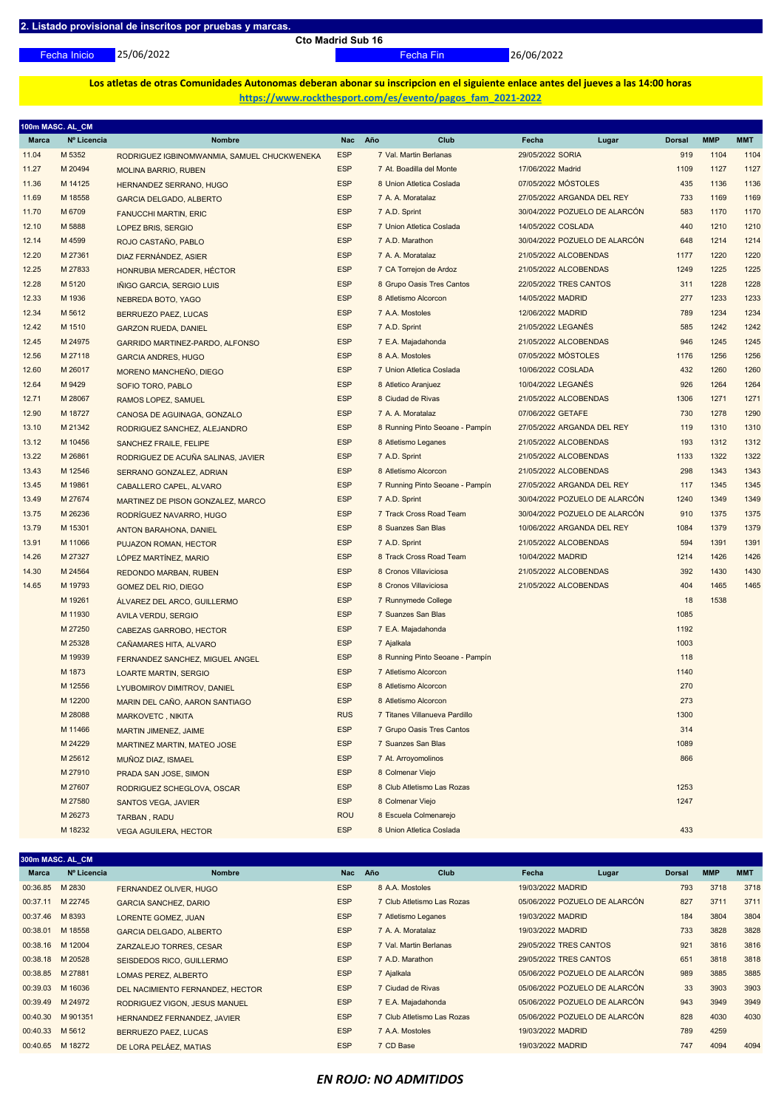25/06/2022

**Cto Madrid Sub 16**

Fecha Inicio Fecha Fin 26/06/2022

**Los atletas de otras Comunidades Autonomas deberan abonar su inscripcion en el siguiente enlace antes del jueves a las 14:00 horas https://www.rockthesport.com/es/evento/pagos\_fam\_2021-2022**

| 100m MASC. AL_CM |             |                                             |            |                                 |                               |               |            |            |
|------------------|-------------|---------------------------------------------|------------|---------------------------------|-------------------------------|---------------|------------|------------|
| Marca            | Nº Licencia | <b>Nombre</b>                               | Nac        | Año<br>Club                     | Fecha<br>Lugar                | <b>Dorsal</b> | <b>MMP</b> | <b>MMT</b> |
| 11.04            | M 5352      | RODRIGUEZ IGBINOMWANMIA, SAMUEL CHUCKWENEKA | <b>ESP</b> | 7 Val. Martin Berlanas          | 29/05/2022 SORIA              | 919           | 1104       | 1104       |
| 11.27            | M 20494     | <b>MOLINA BARRIO, RUBEN</b>                 | <b>ESP</b> | 7 At. Boadilla del Monte        | 17/06/2022 Madrid             | 1109          | 1127       | 1127       |
| 11.36            | M 14125     | HERNANDEZ SERRANO, HUGO                     | <b>ESP</b> | 8 Union Atletica Coslada        | 07/05/2022 MÓSTOLES           | 435           | 1136       | 1136       |
| 11.69            | M 18558     | <b>GARCIA DELGADO, ALBERTO</b>              | <b>ESP</b> | 7 A. A. Moratalaz               | 27/05/2022 ARGANDA DEL REY    | 733           | 1169       | 1169       |
| 11.70            | M 6709      | <b>FANUCCHI MARTIN, ERIC</b>                | <b>ESP</b> | 7 A.D. Sprint                   | 30/04/2022 POZUELO DE ALARCÓN | 583           | 1170       | 1170       |
| 12.10            | M 5888      | LOPEZ BRIS, SERGIO                          | <b>ESP</b> | 7 Union Atletica Coslada        | 14/05/2022 COSLADA            | 440           | 1210       | 1210       |
| 12.14            | M 4599      | ROJO CASTAÑO, PABLO                         | <b>ESP</b> | 7 A.D. Marathon                 | 30/04/2022 POZUELO DE ALARCÓN | 648           | 1214       | 1214       |
| 12.20            | M 27361     | DIAZ FERNÁNDEZ, ASIER                       | <b>ESP</b> | 7 A. A. Moratalaz               | 21/05/2022 ALCOBENDAS         | 1177          | 1220       | 1220       |
| 12.25            | M 27833     | HONRUBIA MERCADER, HÉCTOR                   | <b>ESP</b> | 7 CA Torrejon de Ardoz          | 21/05/2022 ALCOBENDAS         | 1249          | 1225       | 1225       |
| 12.28            | M 5120      | IÑIGO GARCIA, SERGIO LUIS                   | <b>ESP</b> | 8 Grupo Oasis Tres Cantos       | 22/05/2022 TRES CANTOS        | 311           | 1228       | 1228       |
| 12.33            | M 1936      | NEBREDA BOTO, YAGO                          | <b>ESP</b> | 8 Atletismo Alcorcon            | 14/05/2022 MADRID             | 277           | 1233       | 1233       |
| 12.34            | M 5612      | BERRUEZO PAEZ, LUCAS                        | <b>ESP</b> | 7 A.A. Mostoles                 | 12/06/2022 MADRID             | 789           | 1234       | 1234       |
| 12.42            | M 1510      | <b>GARZON RUEDA, DANIEL</b>                 | <b>ESP</b> | 7 A.D. Sprint                   | 21/05/2022 LEGANÉS            | 585           | 1242       | 1242       |
| 12.45            | M 24975     | GARRIDO MARTINEZ-PARDO, ALFONSO             | <b>ESP</b> | 7 E.A. Majadahonda              | 21/05/2022 ALCOBENDAS         | 946           | 1245       | 1245       |
| 12.56            | M 27118     | <b>GARCIA ANDRES, HUGO</b>                  | <b>ESP</b> | 8 A.A. Mostoles                 | 07/05/2022 MÓSTOLES           | 1176          | 1256       | 1256       |
| 12.60            | M 26017     | MORENO MANCHEÑO, DIEGO                      | <b>ESP</b> | 7 Union Atletica Coslada        | 10/06/2022 COSLADA            | 432           | 1260       | 1260       |
| 12.64            | M 9429      | SOFIO TORO, PABLO                           | <b>ESP</b> | 8 Atletico Aranjuez             | 10/04/2022 LEGANÉS            | 926           | 1264       | 1264       |
| 12.71            | M 28067     | RAMOS LOPEZ, SAMUEL                         | <b>ESP</b> | 8 Ciudad de Rivas               | 21/05/2022 ALCOBENDAS         | 1306          | 1271       | 1271       |
| 12.90            | M 18727     | CANOSA DE AGUINAGA, GONZALO                 | <b>ESP</b> | 7 A. A. Moratalaz               | 07/06/2022 GETAFE             | 730           | 1278       | 1290       |
| 13.10            | M 21342     | RODRIGUEZ SANCHEZ, ALEJANDRO                | <b>ESP</b> | 8 Running Pinto Seoane - Pampín | 27/05/2022 ARGANDA DEL REY    | 119           | 1310       | 1310       |
| 13.12            | M 10456     | SANCHEZ FRAILE, FELIPE                      | <b>ESP</b> | 8 Atletismo Leganes             | 21/05/2022 ALCOBENDAS         | 193           | 1312       | 1312       |
| 13.22            | M 26861     | RODRIGUEZ DE ACUÑA SALINAS, JAVIER          | <b>ESP</b> | 7 A.D. Sprint                   | 21/05/2022 ALCOBENDAS         | 1133          | 1322       | 1322       |
| 13.43            | M 12546     | SERRANO GONZALEZ, ADRIAN                    | <b>ESP</b> | 8 Atletismo Alcorcon            | 21/05/2022 ALCOBENDAS         | 298           | 1343       | 1343       |
| 13.45            | M 19861     | CABALLERO CAPEL, ALVARO                     | <b>ESP</b> | 7 Running Pinto Seoane - Pampín | 27/05/2022 ARGANDA DEL REY    | 117           | 1345       | 1345       |
| 13.49            | M 27674     | MARTINEZ DE PISON GONZALEZ, MARCO           | <b>ESP</b> | 7 A.D. Sprint                   | 30/04/2022 POZUELO DE ALARCÓN | 1240          | 1349       | 1349       |
| 13.75            | M 26236     | RODRÍGUEZ NAVARRO, HUGO                     | <b>ESP</b> | 7 Track Cross Road Team         | 30/04/2022 POZUELO DE ALARCÓN | 910           | 1375       | 1375       |
| 13.79            | M 15301     | ANTON BARAHONA, DANIEL                      | <b>ESP</b> | 8 Suanzes San Blas              | 10/06/2022 ARGANDA DEL REY    | 1084          | 1379       | 1379       |
| 13.91            | M 11066     | PUJAZON ROMAN, HECTOR                       | <b>ESP</b> | 7 A.D. Sprint                   | 21/05/2022 ALCOBENDAS         | 594           | 1391       | 1391       |
| 14.26            | M 27327     | LÓPEZ MARTÍNEZ, MARIO                       | <b>ESP</b> | 8 Track Cross Road Team         | 10/04/2022 MADRID             | 1214          | 1426       | 1426       |
| 14.30            | M 24564     | REDONDO MARBAN, RUBEN                       | <b>ESP</b> | 8 Cronos Villaviciosa           | 21/05/2022 ALCOBENDAS         | 392           | 1430       | 1430       |
| 14.65            | M 19793     | GOMEZ DEL RIO, DIEGO                        | <b>ESP</b> | 8 Cronos Villaviciosa           | 21/05/2022 ALCOBENDAS         | 404           | 1465       | 1465       |
|                  | M 19261     | ALVAREZ DEL ARCO, GUILLERMO                 | <b>ESP</b> | 7 Runnymede College             |                               | 18            | 1538       |            |
|                  | M 11930     | AVILA VERDU, SERGIO                         | <b>ESP</b> | 7 Suanzes San Blas              |                               | 1085          |            |            |
|                  | M 27250     | CABEZAS GARROBO, HECTOR                     | <b>ESP</b> | 7 E.A. Majadahonda              |                               | 1192          |            |            |
|                  | M 25328     | CAÑAMARES HITA, ALVARO                      | <b>ESP</b> | 7 Ajalkala                      |                               | 1003          |            |            |
|                  | M 19939     | FERNANDEZ SANCHEZ, MIGUEL ANGEL             | <b>ESP</b> | 8 Running Pinto Seoane - Pampín |                               | 118           |            |            |
|                  | M 1873      | LOARTE MARTIN, SERGIO                       | <b>ESP</b> | 7 Atletismo Alcorcon            |                               | 1140          |            |            |
|                  | M 12556     | LYUBOMIROV DIMITROV, DANIEL                 | <b>ESP</b> | 8 Atletismo Alcorcon            |                               | 270           |            |            |
|                  | M 12200     | MARIN DEL CAÑO, AARON SANTIAGO              | <b>ESP</b> | 8 Atletismo Alcorcon            |                               | 273           |            |            |
|                  | M 28088     | <b>MARKOVETC, NIKITA</b>                    | <b>RUS</b> | 7 Titanes Villanueva Pardillo   |                               | 1300          |            |            |
|                  | M 11466     | MARTIN JIMENEZ, JAIME                       | <b>ESP</b> | 7 Grupo Oasis Tres Cantos       |                               | 314           |            |            |
|                  | M 24229     | <b>MARTINEZ MARTIN, MATEO JOSE</b>          | <b>ESP</b> | 7 Suanzes San Blas              |                               | 1089          |            |            |
|                  | M 25612     | MUÑOZ DIAZ, ISMAEL                          | <b>ESP</b> | 7 At. Arroyomolinos             |                               | 866           |            |            |
|                  | M 27910     | PRADA SAN JOSE, SIMON                       | <b>ESP</b> | 8 Colmenar Viejo                |                               |               |            |            |
|                  | M 27607     | RODRIGUEZ SCHEGLOVA, OSCAR                  | <b>ESP</b> | 8 Club Atletismo Las Rozas      |                               | 1253          |            |            |
|                  | M 27580     | <b>SANTOS VEGA, JAVIER</b>                  | <b>ESP</b> | 8 Colmenar Viejo                |                               | 1247          |            |            |
|                  | M 26273     | <b>TARBAN, RADU</b>                         | <b>ROU</b> | 8 Escuela Colmenarejo           |                               |               |            |            |
|                  | M 18232     | <b>VEGA AGUILERA, HECTOR</b>                | <b>ESP</b> | 8 Union Atletica Coslada        |                               | 433           |            |            |

| 300m MASC. AL CM |             |                                  |            |                            |                        |                               |               |            |            |  |  |
|------------------|-------------|----------------------------------|------------|----------------------------|------------------------|-------------------------------|---------------|------------|------------|--|--|
| Marca            | Nº Licencia | <b>Nombre</b>                    | <b>Nac</b> | Año<br><b>Club</b>         | Fecha                  | Lugar                         | <b>Dorsal</b> | <b>MMP</b> | <b>MMT</b> |  |  |
| 00:36.85         | M 2830      | FERNANDEZ OLIVER, HUGO           | <b>ESP</b> | 8 A.A. Mostoles            | 19/03/2022 MADRID      |                               | 793           | 3718       | 3718       |  |  |
| 00:37.11         | M 22745     | <b>GARCIA SANCHEZ, DARIO</b>     | <b>ESP</b> | 7 Club Atletismo Las Rozas |                        | 05/06/2022 POZUELO DE ALARCÓN | 827           | 3711       | 3711       |  |  |
| 00:37.46         | M 8393      | <b>LORENTE GOMEZ, JUAN</b>       | <b>ESP</b> | 7 Atletismo Leganes        | 19/03/2022 MADRID      |                               | 184           | 3804       | 3804       |  |  |
| 00:38.01         | M 18558     | <b>GARCIA DELGADO, ALBERTO</b>   | <b>ESP</b> | 7 A. A. Moratalaz          | 19/03/2022 MADRID      |                               | 733           | 3828       | 3828       |  |  |
| 00:38.16         | M 12004     | ZARZALEJO TORRES, CESAR          | <b>ESP</b> | 7 Val. Martin Berlanas     | 29/05/2022 TRES CANTOS |                               | 921           | 3816       | 3816       |  |  |
| 00:38.18         | M 20528     | SEISDEDOS RICO, GUILLERMO        | <b>ESP</b> | 7 A.D. Marathon            | 29/05/2022 TRES CANTOS |                               | 651           | 3818       | 3818       |  |  |
| 00:38.85         | M 27881     | LOMAS PEREZ, ALBERTO             | <b>ESP</b> | 7 Ajalkala                 |                        | 05/06/2022 POZUELO DE ALARCÓN | 989           | 3885       | 3885       |  |  |
| 00:39.03         | M 16036     | DEL NACIMIENTO FERNANDEZ, HECTOR | <b>ESP</b> | 7 Ciudad de Rivas          |                        | 05/06/2022 POZUELO DE ALARCÓN | 33            | 3903       | 3903       |  |  |
| 00:39.49         | M 24972     | RODRIGUEZ VIGON, JESUS MANUEL    | <b>ESP</b> | 7 E.A. Majadahonda         |                        | 05/06/2022 POZUELO DE ALARCÓN | 943           | 3949       | 3949       |  |  |
| 00:40.30         | M 901351    | HERNANDEZ FERNANDEZ, JAVIER      | <b>ESP</b> | 7 Club Atletismo Las Rozas |                        | 05/06/2022 POZUELO DE ALARCÓN | 828           | 4030       | 4030       |  |  |
| 00:40.33         | M 5612      | BERRUEZO PAEZ. LUCAS             | <b>ESP</b> | 7 A.A. Mostoles            | 19/03/2022 MADRID      |                               | 789           | 4259       |            |  |  |
| 00:40.65         | M 18272     | DE LORA PELÁEZ, MATIAS           | <b>ESP</b> | 7 CD Base                  | 19/03/2022 MADRID      |                               | 747           | 4094       | 4094       |  |  |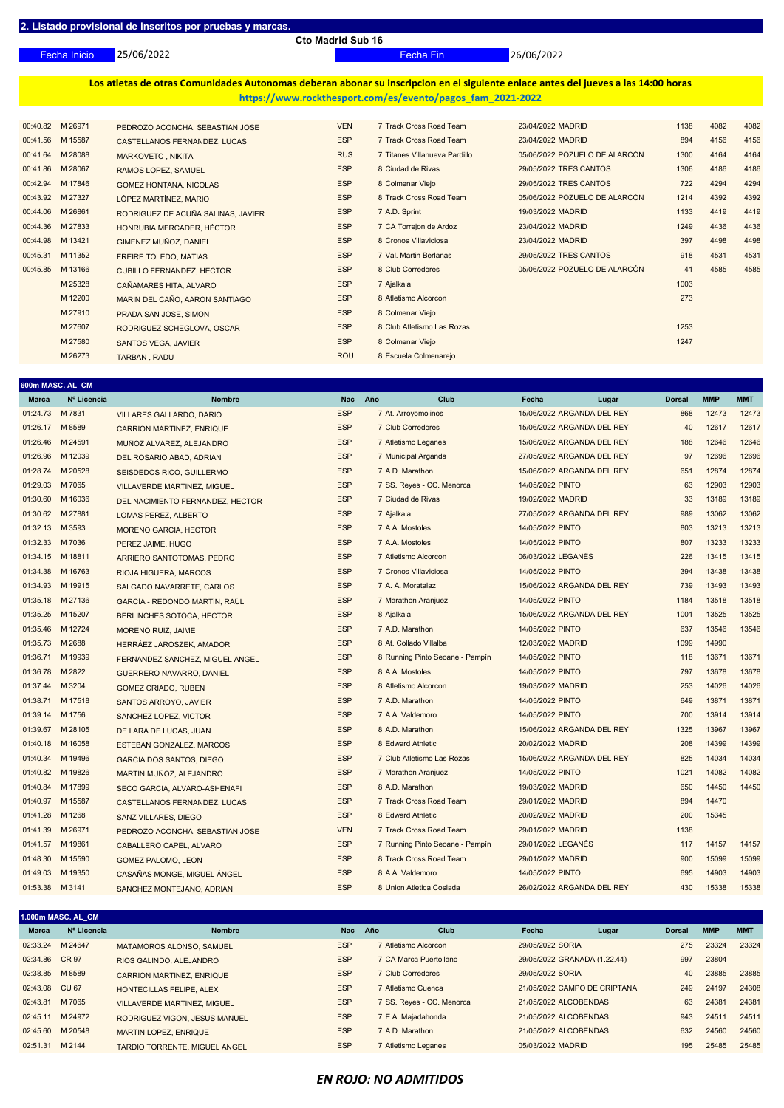25/06/2022 Fecha Inicio Fecha Fin 26/06/2022

**Los atletas de otras Comunidades Autonomas deberan abonar su inscripcion en el siguiente enlace antes del jueves a las 14:00 horas https://www.rockthesport.com/es/evento/pagos\_fam\_2021-2022**

|          | 00:40.82 M 26971 | PEDROZO ACONCHA, SEBASTIAN JOSE    | <b>VEN</b> | 7 Track Cross Road Team       | 23/04/2022 MADRID             | 1138 | 4082 | 4082 |
|----------|------------------|------------------------------------|------------|-------------------------------|-------------------------------|------|------|------|
| 00:41.56 | M 15587          | CASTELLANOS FERNANDEZ, LUCAS       | <b>ESP</b> | 7 Track Cross Road Team       | 23/04/2022 MADRID             | 894  | 4156 | 4156 |
| 00:41.64 | M 28088          | MARKOVETC, NIKITA                  | <b>RUS</b> | 7 Titanes Villanueva Pardillo | 05/06/2022 POZUELO DE ALARCÓN | 1300 | 4164 | 4164 |
| 00:41.86 | M 28067          | RAMOS LOPEZ, SAMUEL                | <b>ESP</b> | 8 Ciudad de Rivas             | 29/05/2022 TRES CANTOS        | 1306 | 4186 | 4186 |
| 00:42.94 | M 17846          | <b>GOMEZ HONTANA, NICOLAS</b>      | <b>ESP</b> | 8 Colmenar Viejo              | 29/05/2022 TRES CANTOS        | 722  | 4294 | 4294 |
|          | 00:43.92 M 27327 | LÓPEZ MARTÍNEZ, MARIO              | <b>ESP</b> | 8 Track Cross Road Team       | 05/06/2022 POZUELO DE ALARCÓN | 1214 | 4392 | 4392 |
| 00:44.06 | M 26861          | RODRIGUEZ DE ACUÑA SALINAS, JAVIER | <b>ESP</b> | 7 A.D. Sprint                 | 19/03/2022 MADRID             | 1133 | 4419 | 4419 |
| 00:44.36 | M 27833          | HONRUBIA MERCADER, HÉCTOR          | <b>ESP</b> | 7 CA Torrejon de Ardoz        | 23/04/2022 MADRID             | 1249 | 4436 | 4436 |
| 00:44.98 | M 13421          | GIMENEZ MUÑOZ, DANIEL              | <b>ESP</b> | 8 Cronos Villaviciosa         | 23/04/2022 MADRID             | 397  | 4498 | 4498 |
| 00:45.31 | M 11352          | <b>FREIRE TOLEDO, MATIAS</b>       | <b>ESP</b> | 7 Val. Martin Berlanas        | 29/05/2022 TRES CANTOS        | 918  | 4531 | 4531 |
| 00:45.85 | M 13166          | <b>CUBILLO FERNANDEZ, HECTOR</b>   | <b>ESP</b> | 8 Club Corredores             | 05/06/2022 POZUELO DE ALARCÓN | 41   | 4585 | 4585 |
|          | M 25328          | CAÑAMARES HITA, ALVARO             | <b>ESP</b> | 7 Ajalkala                    |                               | 1003 |      |      |
|          | M 12200          | MARIN DEL CAÑO, AARON SANTIAGO     | <b>ESP</b> | 8 Atletismo Alcorcon          |                               | 273  |      |      |
|          | M 27910          | PRADA SAN JOSE, SIMON              | <b>ESP</b> | 8 Colmenar Viejo              |                               |      |      |      |
|          | M 27607          | RODRIGUEZ SCHEGLOVA, OSCAR         | <b>ESP</b> | 8 Club Atletismo Las Rozas    |                               | 1253 |      |      |
|          | M 27580          | <b>SANTOS VEGA, JAVIER</b>         | <b>ESP</b> | 8 Colmenar Viejo              |                               | 1247 |      |      |
|          | M 26273          | TARBAN, RADU                       | <b>ROU</b> | 8 Escuela Colmenarejo         |                               |      |      |      |
|          |                  |                                    |            |                               |                               |      |      |      |

| 600m MASC. AL_CM |                  |                                    |            |                                 |                            |               |            |            |  |  |
|------------------|------------------|------------------------------------|------------|---------------------------------|----------------------------|---------------|------------|------------|--|--|
| <b>Marca</b>     | Nº Licencia      | <b>Nombre</b>                      | <b>Nac</b> | Año<br><b>Club</b>              | Fecha<br>Lugar             | <b>Dorsal</b> | <b>MMP</b> | <b>MMT</b> |  |  |
| 01:24.73         | M 7831           | <b>VILLARES GALLARDO, DARIO</b>    | <b>ESP</b> | 7 At. Arroyomolinos             | 15/06/2022 ARGANDA DEL REY | 868           | 12473      | 12473      |  |  |
| 01:26.17         | M 8589           | <b>CARRION MARTINEZ, ENRIQUE</b>   | <b>ESP</b> | 7 Club Corredores               | 15/06/2022 ARGANDA DEL REY | 40            | 12617      | 12617      |  |  |
| 01:26.46         | M 24591          | MUÑOZ ALVAREZ, ALEJANDRO           | <b>ESP</b> | 7 Atletismo Leganes             | 15/06/2022 ARGANDA DEL REY | 188           | 12646      | 12646      |  |  |
| 01:26.96         | M 12039          | DEL ROSARIO ABAD, ADRIAN           | <b>ESP</b> | 7 Municipal Arganda             | 27/05/2022 ARGANDA DEL REY | 97            | 12696      | 12696      |  |  |
| 01:28.74         | M 20528          | SEISDEDOS RICO, GUILLERMO          | <b>ESP</b> | 7 A.D. Marathon                 | 15/06/2022 ARGANDA DEL REY | 651           | 12874      | 12874      |  |  |
| 01:29.03         | M 7065           | <b>VILLAVERDE MARTINEZ, MIGUEL</b> | <b>ESP</b> | 7 SS. Reyes - CC. Menorca       | 14/05/2022 PINTO           | 63            | 12903      | 12903      |  |  |
| 01:30.60         | M 16036          | DEL NACIMIENTO FERNANDEZ, HECTOR   | <b>ESP</b> | 7 Ciudad de Rivas               | 19/02/2022 MADRID          | 33            | 13189      | 13189      |  |  |
| 01:30.62 M 27881 |                  | LOMAS PEREZ, ALBERTO               | <b>ESP</b> | 7 Ajalkala                      | 27/05/2022 ARGANDA DEL REY | 989           | 13062      | 13062      |  |  |
| 01:32.13         | M 3593           | <b>MORENO GARCIA, HECTOR</b>       | <b>ESP</b> | 7 A.A. Mostoles                 | 14/05/2022 PINTO           | 803           | 13213      | 13213      |  |  |
| 01:32.33         | M 7036           | PEREZ JAIME, HUGO                  | <b>ESP</b> | 7 A.A. Mostoles                 | 14/05/2022 PINTO           | 807           | 13233      | 13233      |  |  |
| 01:34.15         | M 18811          | ARRIERO SANTOTOMAS, PEDRO          | <b>ESP</b> | 7 Atletismo Alcorcon            | 06/03/2022 LEGANÉS         | 226           | 13415      | 13415      |  |  |
| 01:34.38         | M 16763          | RIOJA HIGUERA, MARCOS              | <b>ESP</b> | 7 Cronos Villaviciosa           | 14/05/2022 PINTO           | 394           | 13438      | 13438      |  |  |
| 01:34.93         | M 19915          | SALGADO NAVARRETE, CARLOS          | <b>ESP</b> | 7 A. A. Moratalaz               | 15/06/2022 ARGANDA DEL REY | 739           | 13493      | 13493      |  |  |
| 01:35.18         | M 27136          | GARCÍA - REDONDO MARTÍN, RAÚL      | <b>ESP</b> | 7 Marathon Aranjuez             | 14/05/2022 PINTO           | 1184          | 13518      | 13518      |  |  |
| 01:35.25         | M 15207          | BERLINCHES SOTOCA, HECTOR          | <b>ESP</b> | 8 Ajalkala                      | 15/06/2022 ARGANDA DEL REY | 1001          | 13525      | 13525      |  |  |
| 01:35.46         | M 12724          | MORENO RUIZ, JAIME                 | <b>ESP</b> | 7 A.D. Marathon                 | 14/05/2022 PINTO           | 637           | 13546      | 13546      |  |  |
| 01:35.73 M 2688  |                  | HERRÁEZ JAROSZEK, AMADOR           | <b>ESP</b> | 8 At. Collado Villalba          | 12/03/2022 MADRID          | 1099          | 14990      |            |  |  |
|                  | 01:36.71 M 19939 | FERNANDEZ SANCHEZ, MIGUEL ANGEL    | <b>ESP</b> | 8 Running Pinto Seoane - Pampín | 14/05/2022 PINTO           | 118           | 13671      | 13671      |  |  |
| 01:36.78         | M 2822           | <b>GUERRERO NAVARRO, DANIEL</b>    | <b>ESP</b> | 8 A.A. Mostoles                 | 14/05/2022 PINTO           | 797           | 13678      | 13678      |  |  |
| 01:37.44         | M 3204           | <b>GOMEZ CRIADO, RUBEN</b>         | <b>ESP</b> | 8 Atletismo Alcorcon            | 19/03/2022 MADRID          | 253           | 14026      | 14026      |  |  |
| 01:38.71         | M 17518          | SANTOS ARROYO, JAVIER              | <b>ESP</b> | 7 A.D. Marathon                 | 14/05/2022 PINTO           | 649           | 13871      | 13871      |  |  |
| 01:39.14         | M 1756           | SANCHEZ LOPEZ, VICTOR              | <b>ESP</b> | 7 A.A. Valdemoro                | 14/05/2022 PINTO           | 700           | 13914      | 13914      |  |  |
| 01:39.67         | M 28105          | DE LARA DE LUCAS, JUAN             | <b>ESP</b> | 8 A.D. Marathon                 | 15/06/2022 ARGANDA DEL REY | 1325          | 13967      | 13967      |  |  |
| 01:40.18         | M 16058          | <b>ESTEBAN GONZALEZ, MARCOS</b>    | <b>ESP</b> | 8 Edward Athletic               | 20/02/2022 MADRID          | 208           | 14399      | 14399      |  |  |
| 01:40.34         | M 19496          | <b>GARCIA DOS SANTOS, DIEGO</b>    | <b>ESP</b> | 7 Club Atletismo Las Rozas      | 15/06/2022 ARGANDA DEL REY | 825           | 14034      | 14034      |  |  |
| 01:40.82         | M 19826          | MARTIN MUÑOZ, ALEJANDRO            | <b>ESP</b> | 7 Marathon Aranjuez             | 14/05/2022 PINTO           | 1021          | 14082      | 14082      |  |  |
| 01:40.84 M 17899 |                  | SECO GARCIA, ALVARO-ASHENAFI       | <b>ESP</b> | 8 A.D. Marathon                 | 19/03/2022 MADRID          | 650           | 14450      | 14450      |  |  |
|                  | 01:40.97 M 15587 | CASTELLANOS FERNANDEZ, LUCAS       | <b>ESP</b> | 7 Track Cross Road Team         | 29/01/2022 MADRID          | 894           | 14470      |            |  |  |
| 01:41.28 M 1268  |                  | <b>SANZ VILLARES, DIEGO</b>        | <b>ESP</b> | 8 Edward Athletic               | 20/02/2022 MADRID          | 200           | 15345      |            |  |  |
| 01:41.39         | M 26971          | PEDROZO ACONCHA, SEBASTIAN JOSE    | <b>VEN</b> | 7 Track Cross Road Team         | 29/01/2022 MADRID          | 1138          |            |            |  |  |
| 01:41.57         | M 19861          | CABALLERO CAPEL, ALVARO            | <b>ESP</b> | 7 Running Pinto Seoane - Pampín | 29/01/2022 LEGANÉS         | 117           | 14157      | 14157      |  |  |
| 01:48.30         | M 15590          | <b>GOMEZ PALOMO, LEON</b>          | <b>ESP</b> | 8 Track Cross Road Team         | 29/01/2022 MADRID          | 900           | 15099      | 15099      |  |  |
| 01:49.03         | M 19350          | CASAÑAS MONGE, MIGUEL ÁNGEL        | <b>ESP</b> | 8 A.A. Valdemoro                | 14/05/2022 PINTO           | 695           | 14903      | 14903      |  |  |
| 01:53.38 M 3141  |                  | SANCHEZ MONTEJANO, ADRIAN          | <b>ESP</b> | 8 Union Atletica Coslada        | 26/02/2022 ARGANDA DEL REY | 430           | 15338      | 15338      |  |  |

| I.000m MASC. AL_CM_ |             |                                      |            |                            |                       |                              |               |            |            |
|---------------------|-------------|--------------------------------------|------------|----------------------------|-----------------------|------------------------------|---------------|------------|------------|
| <b>Marca</b>        | Nº Licencia | <b>Nombre</b>                        | <b>Nac</b> | Año<br><b>Club</b>         | Fecha                 | Lugar                        | <b>Dorsal</b> | <b>MMP</b> | <b>MMT</b> |
| 02:33.24 M 24647    |             | MATAMOROS ALONSO, SAMUEL             | <b>ESP</b> | 7 Atletismo Alcorcon       | 29/05/2022 SORIA      |                              | 275           | 23324      | 23324      |
| 02:34.86 CR 97      |             | RIOS GALINDO, ALEJANDRO              | <b>ESP</b> | 7 CA Marca Puertollano     |                       | 29/05/2022 GRANADA (1.22.44) | 997           | 23804      |            |
| 02:38.85            | M 8589      | <b>CARRION MARTINEZ, ENRIQUE</b>     | <b>ESP</b> | 7 Club Corredores          | 29/05/2022 SORIA      |                              | 40            | 23885      | 23885      |
| 02:43.08 CU 67      |             | HONTECILLAS FELIPE, ALEX             | <b>ESP</b> | 7 Atletismo Cuenca         |                       | 21/05/2022 CAMPO DE CRIPTANA | 249           | 24197      | 24308      |
| 02:43.81            | M 7065      | <b>VILLAVERDE MARTINEZ, MIGUEL</b>   | <b>ESP</b> | 7 SS. Reyes - CC. Menorca  | 21/05/2022 ALCOBENDAS |                              | 63            | 24381      | 24381      |
| 02:45.11            | M 24972     | RODRIGUEZ VIGON, JESUS MANUEL        | <b>ESP</b> | 7 E.A. Majadahonda         | 21/05/2022 ALCOBENDAS |                              | 943           | 24511      | 24511      |
| 02:45.60            | M 20548     | <b>MARTIN LOPEZ, ENRIQUE</b>         | <b>ESP</b> | 7 A.D. Marathon            | 21/05/2022 ALCOBENDAS |                              | 632           | 24560      | 24560      |
| 02:51.31            | M 2144      | <b>TARDIO TORRENTE, MIGUEL ANGEL</b> | <b>ESP</b> | <b>7 Atletismo Leganes</b> | 05/03/2022 MADRID     |                              | 195           | 25485      | 25485      |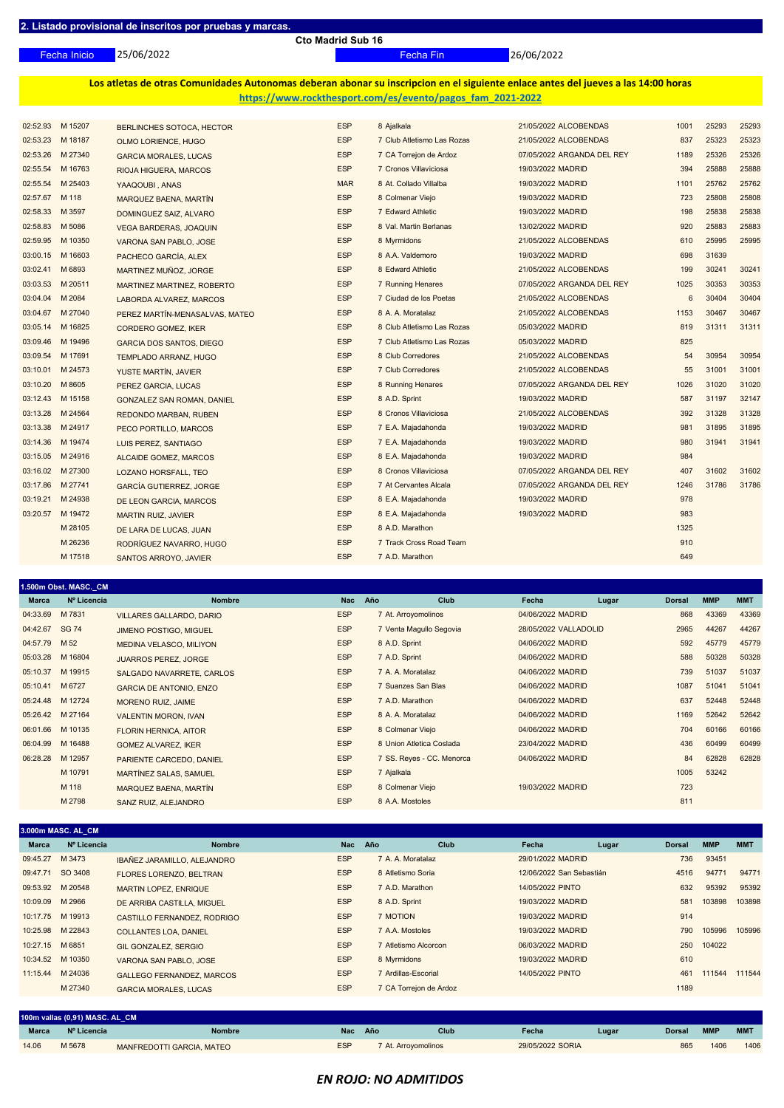25/06/2022

**Cto Madrid Sub 16**

Fecha Inicio Fecha Fin 26/06/2022

**Los atletas de otras Comunidades Autonomas deberan abonar su inscripcion en el siguiente enlace antes del jueves a las 14:00 horas https://www.rockthesport.com/es/evento/pagos\_fam\_2021-2022**

|          | 02:52.93 M 15207 | BERLINCHES SOTOCA, HECTOR         | <b>ESP</b> | 8 Ajalkala                 | 21/05/2022 ALCOBENDAS      | 1001 | 25293 | 25293 |
|----------|------------------|-----------------------------------|------------|----------------------------|----------------------------|------|-------|-------|
| 02:53.23 | M 18187          | OLMO LORIENCE, HUGO               | <b>ESP</b> | 7 Club Atletismo Las Rozas | 21/05/2022 ALCOBENDAS      | 837  | 25323 | 25323 |
| 02:53.26 | M 27340          | <b>GARCIA MORALES, LUCAS</b>      | <b>ESP</b> | 7 CA Torrejon de Ardoz     | 07/05/2022 ARGANDA DEL REY | 1189 | 25326 | 25326 |
| 02:55.54 | M 16763          | RIOJA HIGUERA, MARCOS             | <b>ESP</b> | 7 Cronos Villaviciosa      | 19/03/2022 MADRID          | 394  | 25888 | 25888 |
| 02:55.54 | M 25403          | YAAQOUBI, ANAS                    | <b>MAR</b> | 8 At. Collado Villalba     | 19/03/2022 MADRID          | 1101 | 25762 | 25762 |
| 02:57.67 | M 118            | MARQUEZ BAENA, MARTÍN             | <b>ESP</b> | 8 Colmenar Viejo           | 19/03/2022 MADRID          | 723  | 25808 | 25808 |
| 02:58.33 | M 3597           | DOMINGUEZ SAIZ, ALVARO            | <b>ESP</b> | 7 Edward Athletic          | 19/03/2022 MADRID          | 198  | 25838 | 25838 |
| 02:58.83 | M 5086           | <b>VEGA BARDERAS, JOAQUIN</b>     | <b>ESP</b> | 8 Val. Martin Berlanas     | 13/02/2022 MADRID          | 920  | 25883 | 25883 |
|          | 02:59.95 M 10350 | VARONA SAN PABLO, JOSE            | <b>ESP</b> | 8 Myrmidons                | 21/05/2022 ALCOBENDAS      | 610  | 25995 | 25995 |
| 03:00.15 | M 16603          | PACHECO GARCÍA, ALEX              | <b>ESP</b> | 8 A.A. Valdemoro           | 19/03/2022 MADRID          | 698  | 31639 |       |
| 03:02.41 | M 6893           | MARTINEZ MUÑOZ, JORGE             | <b>ESP</b> | 8 Edward Athletic          | 21/05/2022 ALCOBENDAS      | 199  | 30241 | 30241 |
| 03:03.53 | M 20511          | MARTINEZ MARTINEZ, ROBERTO        | <b>ESP</b> | 7 Running Henares          | 07/05/2022 ARGANDA DEL REY | 1025 | 30353 | 30353 |
| 03:04.04 | M 2084           | LABORDA ALVAREZ, MARCOS           | <b>ESP</b> | 7 Ciudad de los Poetas     | 21/05/2022 ALCOBENDAS      | 6    | 30404 | 30404 |
|          | 03:04.67 M 27040 | PEREZ MARTÍN-MENASALVAS, MATEO    | <b>ESP</b> | 8 A. A. Moratalaz          | 21/05/2022 ALCOBENDAS      | 1153 | 30467 | 30467 |
| 03:05.14 | M 16825          | CORDERO GOMEZ, IKER               | <b>ESP</b> | 8 Club Atletismo Las Rozas | 05/03/2022 MADRID          | 819  | 31311 | 31311 |
| 03:09.46 | M 19496          | <b>GARCIA DOS SANTOS, DIEGO</b>   | <b>ESP</b> | 7 Club Atletismo Las Rozas | 05/03/2022 MADRID          | 825  |       |       |
| 03:09.54 | M 17691          | <b>TEMPLADO ARRANZ, HUGO</b>      | <b>ESP</b> | 8 Club Corredores          | 21/05/2022 ALCOBENDAS      | 54   | 30954 | 30954 |
| 03:10.01 | M 24573          | YUSTE MARTÍN, JAVIER              | <b>ESP</b> | 7 Club Corredores          | 21/05/2022 ALCOBENDAS      | 55   | 31001 | 31001 |
| 03:10.20 | M 8605           | PEREZ GARCIA, LUCAS               | <b>ESP</b> | 8 Running Henares          | 07/05/2022 ARGANDA DEL REY | 1026 | 31020 | 31020 |
| 03:12.43 | M 15158          | <b>GONZALEZ SAN ROMAN, DANIEL</b> | <b>ESP</b> | 8 A.D. Sprint              | 19/03/2022 MADRID          | 587  | 31197 | 32147 |
| 03:13.28 | M 24564          | <b>REDONDO MARBAN, RUBEN</b>      | <b>ESP</b> | 8 Cronos Villaviciosa      | 21/05/2022 ALCOBENDAS      | 392  | 31328 | 31328 |
|          | 03:13.38 M 24917 | PECO PORTILLO, MARCOS             | <b>ESP</b> | 7 E.A. Majadahonda         | 19/03/2022 MADRID          | 981  | 31895 | 31895 |
| 03:14.36 | M 19474          | LUIS PEREZ, SANTIAGO              | <b>ESP</b> | 7 E.A. Majadahonda         | 19/03/2022 MADRID          | 980  | 31941 | 31941 |
|          | 03:15.05 M 24916 | ALCAIDE GOMEZ, MARCOS             | <b>ESP</b> | 8 E.A. Majadahonda         | 19/03/2022 MADRID          | 984  |       |       |
|          | 03:16.02 M 27300 | LOZANO HORSFALL, TEO              | <b>ESP</b> | 8 Cronos Villaviciosa      | 07/05/2022 ARGANDA DEL REY | 407  | 31602 | 31602 |
| 03:17.86 | M 27741          | <b>GARCÍA GUTIERREZ, JORGE</b>    | <b>ESP</b> | 7 At Cervantes Alcala      | 07/05/2022 ARGANDA DEL REY | 1246 | 31786 | 31786 |
|          | 03:19.21 M 24938 | DE LEON GARCIA, MARCOS            | <b>ESP</b> | 8 E.A. Majadahonda         | 19/03/2022 MADRID          | 978  |       |       |
| 03:20.57 | M 19472          | <b>MARTIN RUIZ, JAVIER</b>        | <b>ESP</b> | 8 E.A. Majadahonda         | 19/03/2022 MADRID          | 983  |       |       |
|          | M 28105          | DE LARA DE LUCAS, JUAN            | <b>ESP</b> | 8 A.D. Marathon            |                            | 1325 |       |       |
|          | M 26236          | RODRIGUEZ NAVARRO, HUGO           | <b>ESP</b> | 7 Track Cross Road Team    |                            | 910  |       |       |
|          | M 17518          | SANTOS ARROYO, JAVIER             | <b>ESP</b> | 7 A.D. Marathon            |                            | 649  |       |       |

|                  | .500m Obst. MASC. CM |                                 |            |                           |                       |       |               |            |            |
|------------------|----------------------|---------------------------------|------------|---------------------------|-----------------------|-------|---------------|------------|------------|
| <b>Marca</b>     | Nº Licencia          | <b>Nombre</b>                   | <b>Nac</b> | Club<br>Año               | Fecha                 | Lugar | <b>Dorsal</b> | <b>MMP</b> | <b>MMT</b> |
| 04:33.69         | M 7831               | <b>VILLARES GALLARDO, DARIO</b> | <b>ESP</b> | 7 At. Arroyomolinos       | 04/06/2022 MADRID     |       | 868           | 43369      | 43369      |
| 04:42.67         | <b>SG 74</b>         | <b>JIMENO POSTIGO, MIGUEL</b>   | <b>ESP</b> | 7 Venta Magullo Segovia   | 28/05/2022 VALLADOLID |       | 2965          | 44267      | 44267      |
| 04:57.79 M 52    |                      | <b>MEDINA VELASCO, MILIYON</b>  | <b>ESP</b> | 8 A.D. Sprint             | 04/06/2022 MADRID     |       | 592           | 45779      | 45779      |
| 05:03.28         | M 16804              | <b>JUARROS PEREZ, JORGE</b>     | <b>ESP</b> | 7 A.D. Sprint             | 04/06/2022 MADRID     |       | 588           | 50328      | 50328      |
| 05:10.37         | M 19915              | SALGADO NAVARRETE, CARLOS       | <b>ESP</b> | 7 A. A. Moratalaz         | 04/06/2022 MADRID     |       | 739           | 51037      | 51037      |
| 05:10.41 M 6727  |                      | <b>GARCIA DE ANTONIO, ENZO</b>  | <b>ESP</b> | 7 Suanzes San Blas        | 04/06/2022 MADRID     |       | 1087          | 51041      | 51041      |
| 05:24.48 M 12724 |                      | <b>MORENO RUIZ, JAIME</b>       | <b>ESP</b> | 7 A.D. Marathon           | 04/06/2022 MADRID     |       | 637           | 52448      | 52448      |
| 05:26.42 M 27164 |                      | <b>VALENTIN MORON, IVAN</b>     | <b>ESP</b> | 8 A. A. Moratalaz         | 04/06/2022 MADRID     |       | 1169          | 52642      | 52642      |
| 06:01.66         | M 10135              | <b>FLORIN HERNICA, AITOR</b>    | <b>ESP</b> | 8 Colmenar Viejo          | 04/06/2022 MADRID     |       | 704           | 60166      | 60166      |
| 06:04.99         | M 16488              | <b>GOMEZ ALVAREZ, IKER</b>      | <b>ESP</b> | 8 Union Atletica Coslada  | 23/04/2022 MADRID     |       | 436           | 60499      | 60499      |
| 06:28.28         | M 12957              | PARIENTE CARCEDO, DANIEL        | <b>ESP</b> | 7 SS. Reyes - CC. Menorca | 04/06/2022 MADRID     |       | 84            | 62828      | 62828      |
|                  | M 10791              | MARTÍNEZ SALAS, SAMUEL          | <b>ESP</b> | 7 Ajalkala                |                       |       | 1005          | 53242      |            |
|                  | M 118                | MARQUEZ BAENA, MARTÍN           | <b>ESP</b> | 8 Colmenar Viejo          | 19/03/2022 MADRID     |       | 723           |            |            |
|                  | M 2798               | SANZ RUIZ, ALEJANDRO            | <b>ESP</b> | 8 A.A. Mostoles           |                       |       | 811           |            |            |

| 3.000m MASC. AL CM |             |                                    |            |                        |                          |       |               |            |            |
|--------------------|-------------|------------------------------------|------------|------------------------|--------------------------|-------|---------------|------------|------------|
| <b>Marca</b>       | Nº Licencia | <b>Nombre</b>                      | <b>Nac</b> | Año<br><b>Club</b>     | Fecha                    | Lugar | <b>Dorsal</b> | <b>MMP</b> | <b>MMT</b> |
| 09:45.27           | M 3473      | <b>IBAÑEZ JARAMILLO, ALEJANDRO</b> | <b>ESP</b> | 7 A. A. Moratalaz      | 29/01/2022 MADRID        |       | 736           | 93451      |            |
| 09:47.71           | SO 3408     | <b>FLORES LORENZO, BELTRAN</b>     | <b>ESP</b> | 8 Atletismo Soria      | 12/06/2022 San Sebastián |       | 4516          | 94771      | 94771      |
| 09:53.92 M 20548   |             | <b>MARTIN LOPEZ, ENRIQUE</b>       | <b>ESP</b> | 7 A.D. Marathon        | 14/05/2022 PINTO         |       | 632           | 95392      | 95392      |
| 10:09.09 M 2966    |             | DE ARRIBA CASTILLA, MIGUEL         | <b>ESP</b> | 8 A.D. Sprint          | 19/03/2022 MADRID        |       | 581           | 103898     | 103898     |
| 10:17.75 M 19913   |             | CASTILLO FERNANDEZ, RODRIGO        | <b>ESP</b> | 7 MOTION               | 19/03/2022 MADRID        |       | 914           |            |            |
| 10:25.98 M 22843   |             | <b>COLLANTES LOA, DANIEL</b>       | <b>ESP</b> | 7 A.A. Mostoles        | 19/03/2022 MADRID        |       | 790           | 105996     | 105996     |
| 10:27.15 M 6851    |             | <b>GIL GONZALEZ, SERGIO</b>        | <b>ESP</b> | 7 Atletismo Alcorcon   | 06/03/2022 MADRID        |       | 250           | 104022     |            |
| 10:34.52 M 10350   |             | VARONA SAN PABLO, JOSE             | <b>ESP</b> | 8 Myrmidons            | 19/03/2022 MADRID        |       | 610           |            |            |
| 11:15.44 M 24036   |             | <b>GALLEGO FERNANDEZ, MARCOS</b>   | <b>ESP</b> | 7 Ardillas-Escorial    | 14/05/2022 PINTO         |       | 461           | 111544     | 111544     |
|                    | M 27340     | <b>GARCIA MORALES, LUCAS</b>       | <b>ESP</b> | 7 CA Torrejon de Ardoz |                          |       | 1189          |            |            |
|                    |             |                                    |            |                        |                          |       |               |            |            |

| 100m vallas (0,91) MASC. AL CM |             |                           |            |     |                     |                  |       |               |            |            |  |  |
|--------------------------------|-------------|---------------------------|------------|-----|---------------------|------------------|-------|---------------|------------|------------|--|--|
| <b>Marca</b>                   | Nº Licencia | <b>Nombre</b>             | <b>Nac</b> | Año | <b>Club</b>         | Fecha            | Lugar | <b>Dorsal</b> | <b>MMP</b> | <b>MMT</b> |  |  |
| 14.06                          | M 5678      | MANFREDOTTI GARCIA, MATEO | <b>ESP</b> |     | 7 At. Arrovomolinos | 29/05/2022 SORIA |       | 865           | 1406       | 1406       |  |  |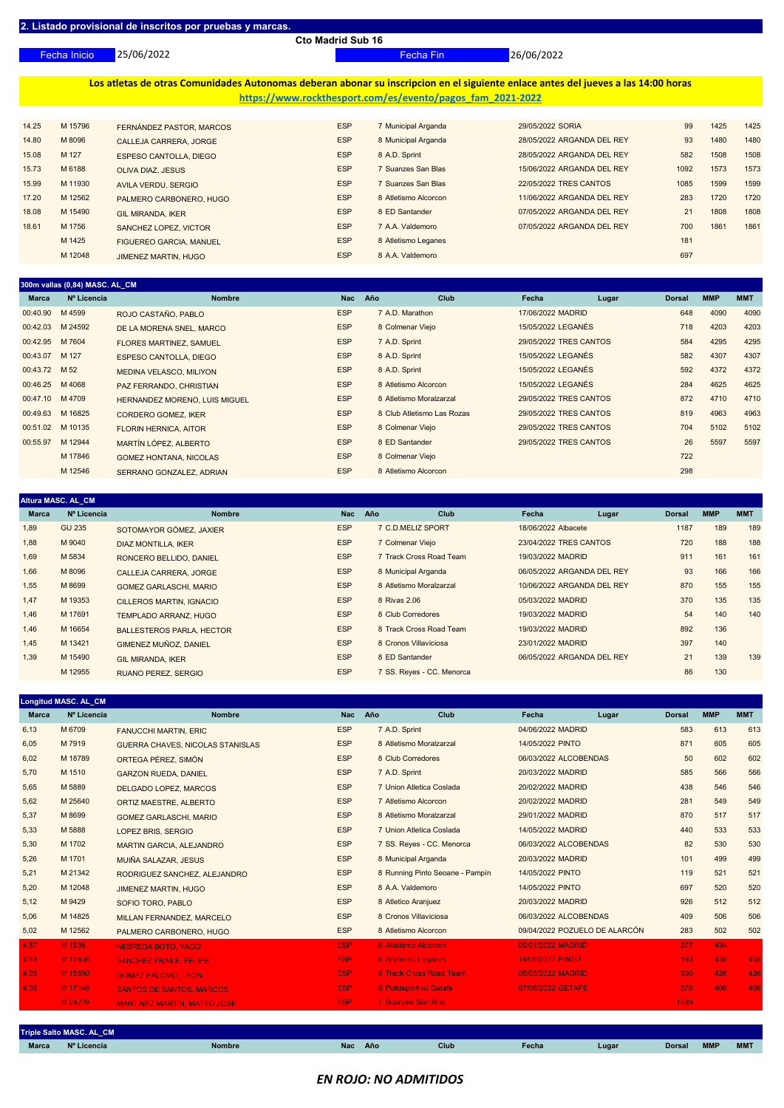25/06/2022 Fecha Inicio Fecha Fin 26/06/2022

**Los atletas de otras Comunidades Autonomas deberan abonar su inscripcion en el siguiente enlace antes del jueves a las 14:00 horas https://www.rockthesport.com/es/evento/pagos\_fam\_2021-2022**

| 14.25 | M 15796 | FERNÁNDEZ PASTOR, MARCOS       | <b>ESP</b> | 7 Municipal Arganda  | 29/05/2022 SORIA           | 99   | 1425 | 1425 |
|-------|---------|--------------------------------|------------|----------------------|----------------------------|------|------|------|
| 14.80 | M 8096  | CALLEJA CARRERA, JORGE         | <b>ESP</b> | 8 Municipal Arganda  | 28/05/2022 ARGANDA DEL REY | 93   | 1480 | 1480 |
| 15.08 | M 127   | <b>ESPESO CANTOLLA, DIEGO</b>  | <b>ESP</b> | 8 A.D. Sprint        | 28/05/2022 ARGANDA DEL REY | 582  | 1508 | 1508 |
| 15.73 | M 6188  | <b>OLIVA DIAZ, JESUS</b>       | <b>ESP</b> | 7 Suanzes San Blas   | 15/06/2022 ARGANDA DEL REY | 1092 | 1573 | 1573 |
| 15.99 | M 11930 | AVILA VERDU, SERGIO            | <b>ESP</b> | Suanzes San Blas     | 22/05/2022 TRES CANTOS     | 1085 | 1599 | 1599 |
| 17.20 | M 12562 | PALMERO CARBONERO, HUGO        | <b>ESP</b> | 8 Atletismo Alcorcon | 11/06/2022 ARGANDA DEL REY | 283  | 1720 | 1720 |
| 18.08 | M 15490 | <b>GIL MIRANDA, IKER</b>       | <b>ESP</b> | 8 ED Santander       | 07/05/2022 ARGANDA DEL REY | 21   | 1808 | 1808 |
| 18.61 | M 1756  | SANCHEZ LOPEZ, VICTOR          | <b>ESP</b> | 7 A.A. Valdemoro     | 07/05/2022 ARGANDA DEL REY | 700  | 1861 | 1861 |
|       | M 1425  | <b>FIGUEREO GARCIA, MANUEL</b> | <b>ESP</b> | 8 Atletismo Leganes  |                            | 181  |      |      |
|       | M 12048 | <b>JIMENEZ MARTIN, HUGO</b>    | <b>ESP</b> | 8 A.A. Valdemoro     |                            | 697  |      |      |
|       |         |                                |            |                      |                            |      |      |      |

| 300m vallas (0,84) MASC. AL_CM |             |                                      |            |                            |             |                        |       |               |            |            |
|--------------------------------|-------------|--------------------------------------|------------|----------------------------|-------------|------------------------|-------|---------------|------------|------------|
| <b>Marca</b>                   | Nº Licencia | <b>Nombre</b>                        | <b>Nac</b> | Año                        | <b>Club</b> | Fecha                  | Lugar | <b>Dorsal</b> | <b>MMP</b> | <b>MMT</b> |
| 00:40.90 M 4599                |             | ROJO CASTAÑO, PABLO                  | <b>ESP</b> | 7 A.D. Marathon            |             | 17/06/2022 MADRID      |       | 648           | 4090       | 4090       |
| 00:42.03 M 24592               |             | DE LA MORENA SNEL, MARCO             | <b>ESP</b> | 8 Colmenar Viejo           |             | 15/05/2022 LEGANÉS     |       | 718           | 4203       | 4203       |
| 00:42.95 M 7604                |             | <b>FLORES MARTINEZ, SAMUEL</b>       | <b>ESP</b> | 7 A.D. Sprint              |             | 29/05/2022 TRES CANTOS |       | 584           | 4295       | 4295       |
| 00:43.07 M 127                 |             | <b>ESPESO CANTOLLA, DIEGO</b>        | <b>ESP</b> | 8 A.D. Sprint              |             | 15/05/2022 LEGANÉS     |       | 582           | 4307       | 4307       |
| 00:43.72 M 52                  |             | <b>MEDINA VELASCO, MILIYON</b>       | <b>ESP</b> | 8 A.D. Sprint              |             | 15/05/2022 LEGANÉS     |       | 592           | 4372       | 4372       |
| 00:46.25 M 4068                |             | PAZ FERRANDO, CHRISTIAN              | <b>ESP</b> | 8 Atletismo Alcorcon       |             | 15/05/2022 LEGANÉS     |       | 284           | 4625       | 4625       |
| 00:47.10 M 4709                |             | <b>HERNANDEZ MORENO, LUIS MIGUEL</b> | <b>ESP</b> | 8 Atletismo Moralzarzal    |             | 29/05/2022 TRES CANTOS |       | 872           | 4710       | 4710       |
| 00:49.63                       | M 16825     | <b>CORDERO GOMEZ, IKER</b>           | <b>ESP</b> | 8 Club Atletismo Las Rozas |             | 29/05/2022 TRES CANTOS |       | 819           | 4963       | 4963       |
| 00:51.02 M 10135               |             | <b>FLORIN HERNICA, AITOR</b>         | <b>ESP</b> | 8 Colmenar Viejo           |             | 29/05/2022 TRES CANTOS |       | 704           | 5102       | 5102       |
| 00:55.97                       | M 12944     | MARTÍN LÓPEZ, ALBERTO                | <b>ESP</b> | 8 ED Santander             |             | 29/05/2022 TRES CANTOS |       | 26            | 5597       | 5597       |
|                                | M 17846     | <b>GOMEZ HONTANA, NICOLAS</b>        | <b>ESP</b> | 8 Colmenar Viejo           |             |                        |       | 722           |            |            |
|                                | M 12546     | SERRANO GONZALEZ, ADRIAN             | <b>ESP</b> | 8 Atletismo Alcorcon       |             |                        |       | 298           |            |            |

| <b>Altura MASC. AL CM</b> |               |                                  |            |                           |                            |       |               |            |            |
|---------------------------|---------------|----------------------------------|------------|---------------------------|----------------------------|-------|---------------|------------|------------|
| <b>Marca</b>              | Nº Licencia   | <b>Nombre</b>                    | <b>Nac</b> | Club<br>Año               | Fecha                      | Lugar | <b>Dorsal</b> | <b>MMP</b> | <b>MMT</b> |
| 1,89                      | <b>GU 235</b> | SOTOMAYOR GÓMEZ, JAXIER          | <b>ESP</b> | 7 C.D.MELIZ SPORT         | 18/06/2022 Albacete        |       | 1187          | 189        | 189        |
| 1,88                      | M 9040        | <b>DIAZ MONTILLA, IKER</b>       | <b>ESP</b> | 7 Colmenar Viejo          | 23/04/2022 TRES CANTOS     |       | 720           | 188        | 188        |
| 1,69                      | M 5834        | RONCERO BELLIDO, DANIEL          | <b>ESP</b> | 7 Track Cross Road Team   | 19/03/2022 MADRID          |       | 911           | 161        | 161        |
| 1,66                      | M 8096        | CALLEJA CARRERA, JORGE           | <b>ESP</b> | 8 Municipal Arganda       | 06/05/2022 ARGANDA DEL REY |       | 93            | 166        | 166        |
| 1,55                      | M 8699        | <b>GOMEZ GARLASCHI, MARIO</b>    | <b>ESP</b> | 8 Atletismo Moralzarzal   | 10/06/2022 ARGANDA DEL REY |       | 870           | 155        | 155        |
| 1,47                      | M 19353       | <b>CILLEROS MARTIN, IGNACIO</b>  | <b>ESP</b> | 8 Rivas 2.06              | 05/03/2022 MADRID          |       | 370           | 135        | 135        |
| 1,46                      | M 17691       | <b>TEMPLADO ARRANZ, HUGO</b>     | <b>ESP</b> | 8 Club Corredores         | 19/03/2022 MADRID          |       | 54            | 140        | 140        |
| 1,46                      | M 16654       | <b>BALLESTEROS PARLA, HECTOR</b> | <b>ESP</b> | 8 Track Cross Road Team   | 19/03/2022 MADRID          |       | 892           | 136        |            |
| 1,45                      | M 13421       | GIMENEZ MUÑOZ, DANIEL            | <b>ESP</b> | 8 Cronos Villaviciosa     | 23/01/2022 MADRID          |       | 397           | 140        |            |
| 1,39                      | M 15490       | <b>GIL MIRANDA, IKER</b>         | <b>ESP</b> | 8 ED Santander            | 06/05/2022 ARGANDA DEL REY |       | 21            | 139        | 139        |
|                           | M 12955       | <b>RUANO PEREZ, SERGIO</b>       | <b>ESP</b> | 7 SS. Reyes - CC. Menorca |                            |       | 86            | 130        |            |

|              | <b>Longitud MASC. AL CM</b>     |                                    |            |     |                                 |                       |                               |                  |            |            |  |  |  |
|--------------|---------------------------------|------------------------------------|------------|-----|---------------------------------|-----------------------|-------------------------------|------------------|------------|------------|--|--|--|
| <b>Marca</b> | Nº Licencia                     | <b>Nombre</b>                      | <b>Nac</b> | Año | Club                            | Fecha                 | Lugar                         | <b>Dorsal</b>    | <b>MMP</b> | <b>MMT</b> |  |  |  |
| 6,13         | M 6709                          | <b>FANUCCHI MARTIN, ERIC</b>       | <b>ESP</b> |     | 7 A.D. Sprint                   | 04/06/2022 MADRID     |                               | 583              | 613        | 613        |  |  |  |
| 6,05         | M 7919                          | GUERRA CHAVES, NICOLAS STANISLAS   | <b>ESP</b> |     | 8 Atletismo Moralzarzal         | 14/05/2022 PINTO      |                               | 871              | 605        | 605        |  |  |  |
| 6,02         | M 18789                         | ORTEGA PÉREZ, SIMÓN                | <b>ESP</b> |     | 8 Club Corredores               | 06/03/2022 ALCOBENDAS |                               | 50               | 602        | 602        |  |  |  |
| 5,70         | M 1510                          | <b>GARZON RUEDA, DANIEL</b>        | <b>ESP</b> |     | 7 A.D. Sprint                   | 20/03/2022 MADRID     |                               | 585              | 566        | 566        |  |  |  |
| 5,65         | M 5889                          | DELGADO LOPEZ, MARCOS              | <b>ESP</b> |     | 7 Union Atletica Coslada        | 20/02/2022 MADRID     |                               | 438              | 546        | 546        |  |  |  |
| 5,62         | M 25640                         | ORTIZ MAESTRE, ALBERTO             | <b>ESP</b> |     | 7 Atletismo Alcorcon            | 20/02/2022 MADRID     |                               | 281              | 549        | 549        |  |  |  |
| 5,37         | M 8699                          | <b>GOMEZ GARLASCHI, MARIO</b>      | <b>ESP</b> |     | 8 Atletismo Moralzarzal         | 29/01/2022 MADRID     |                               | 870              | 517        | 517        |  |  |  |
| 5,33         | M 5888                          | LOPEZ BRIS, SERGIO                 | <b>ESP</b> |     | 7 Union Atletica Coslada        | 14/05/2022 MADRID     |                               | 440              | 533        | 533        |  |  |  |
| 5,30         | M 1702                          | <b>MARTIN GARCIA, ALEJANDRO</b>    | <b>ESP</b> |     | 7 SS. Reyes - CC. Menorca       | 06/03/2022 ALCOBENDAS |                               | 82               | 530        | 530        |  |  |  |
| 5,26         | M 1701                          | MUIÑA SALAZAR, JESUS               | <b>ESP</b> |     | 8 Municipal Arganda             | 20/03/2022 MADRID     |                               | 101              | 499        | 499        |  |  |  |
| 5,21         | M 21342                         | RODRIGUEZ SANCHEZ, ALEJANDRO       | <b>ESP</b> |     | 8 Running Pinto Seoane - Pampín | 14/05/2022 PINTO      |                               | 119              | 521        | 521        |  |  |  |
| 5,20         | M 12048                         | <b>JIMENEZ MARTIN, HUGO</b>        | <b>ESP</b> |     | 8 A.A. Valdemoro                | 14/05/2022 PINTO      |                               | 697              | 520        | 520        |  |  |  |
| 5,12         | M 9429                          | SOFIO TORO, PABLO                  | <b>ESP</b> |     | 8 Atletico Aranjuez             | 20/03/2022 MADRID     |                               | 926              | 512        | 512        |  |  |  |
| 5,06         | M 14825                         | MILLAN FERNANDEZ, MARCELO          | <b>ESP</b> |     | 8 Cronos Villaviciosa           | 06/03/2022 ALCOBENDAS |                               | 409              | 506        | 506        |  |  |  |
| 5,02         | M 12562                         | PALMERO CARBONERO, HUGO            | <b>ESP</b> |     | 8 Atletismo Alcorcon            |                       | 09/04/2022 POZUELO DE ALARCÓN | 283              | 502        | 502        |  |  |  |
| 4,87         | M 1936                          | <b>NEBREDA BOTO, YAGO</b>          | ESP        |     | 8 Atletismo Alcorcon            | 09/01/2022 MADRID     |                               | 277              | 494        |            |  |  |  |
| 4,58         | M 10456                         | <b>SANCHEZ FRAILE, FELIPE</b>      | ESP        |     | 8 Atletismo Leganes             | 14/05/2022 PINTO      |                               | 193 <sub>1</sub> | 458        | 458        |  |  |  |
| 4,26         | M 15590                         | <b>GOMEZ PALOMO, LEON</b>          | ESP        |     | 8 Track Cross Road Team         | 05/03/2022 MADRID     |                               | 900 <sub>1</sub> | 426        | 426        |  |  |  |
| 4,06         | M 17148                         | <b>SANTOS DE SANTOS, MARCOS</b>    | <b>ESP</b> |     | 8 Polideportivo Getafe          | 07/06/2022 GETAFE     |                               | 670              | 406        | 406        |  |  |  |
|              | M 24229                         | <b>MARTINEZ MARTIN, MATEO JOSE</b> | <b>ESP</b> |     | <b>7 Suanzes San Blas</b>       |                       |                               | 1089             |            |            |  |  |  |
|              |                                 |                                    |            |     |                                 |                       |                               |                  |            |            |  |  |  |
|              | <b>Triple Salto MASC. AL_CM</b> |                                    |            |     |                                 |                       |                               |                  |            |            |  |  |  |

## *EN ROJO: NO ADMITIDOS*

**Marca Nº Licencia Nombre Nac Año Club Fecha Lugar Dorsal MMP MMT**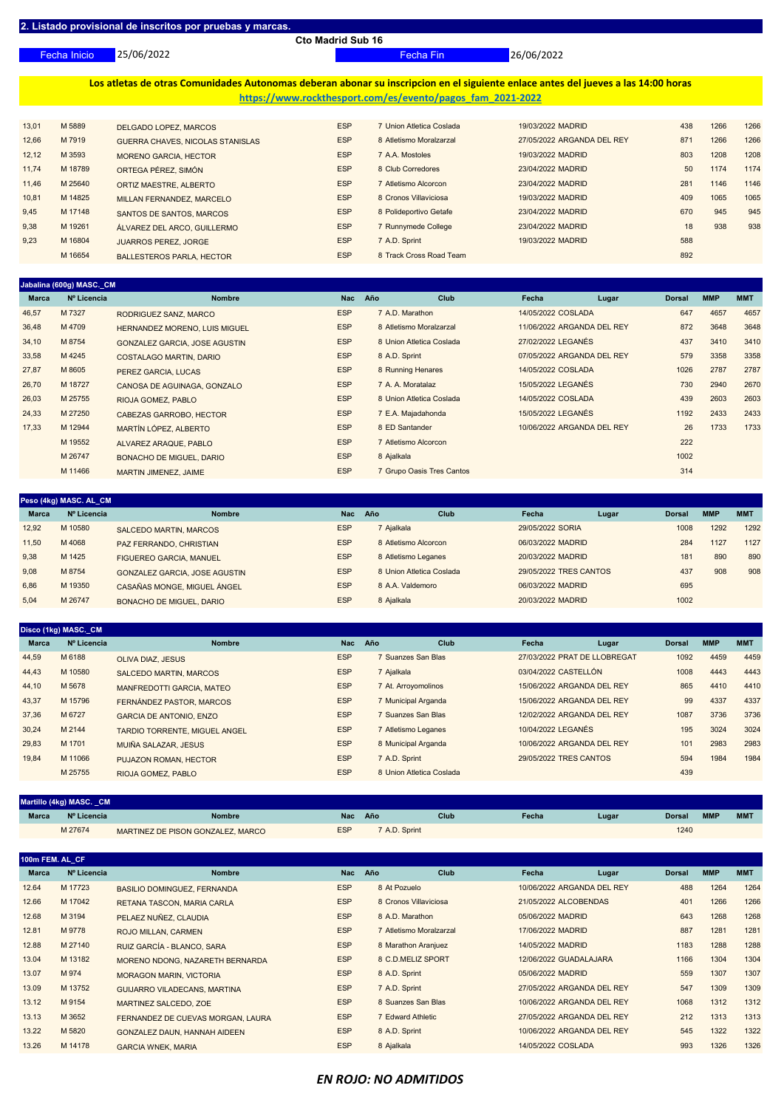25/06/2022 Fecha Inicio Fecha Fin 26/06/2022

**Los atletas de otras Comunidades Autonomas deberan abonar su inscripcion en el siguiente enlace antes del jueves a las 14:00 horas https://www.rockthesport.com/es/evento/pagos\_fam\_2021-2022**

| 13,01 | M 5889  | <b>DELGADO LOPEZ. MARCOS</b>     | <b>ESP</b> | 'Union Atletica Coslada | 19/03/2022 MADRID          | 438 | 1266 | 1266 |
|-------|---------|----------------------------------|------------|-------------------------|----------------------------|-----|------|------|
| 12,66 | M 7919  | GUERRA CHAVES, NICOLAS STANISLAS | <b>ESP</b> | 8 Atletismo Moralzarzal | 27/05/2022 ARGANDA DEL REY | 871 | 1266 | 1266 |
| 12,12 | M 3593  | <b>MORENO GARCIA, HECTOR</b>     | <b>ESP</b> | <b>7 A.A. Mostoles</b>  | 19/03/2022 MADRID          | 803 | 1208 | 1208 |
| 11,74 | M 18789 | ORTEGA PÉREZ, SIMÓN              | <b>ESP</b> | 8 Club Corredores       | 23/04/2022 MADRID          | 50  | 1174 | 1174 |
| 11,46 | M 25640 | ORTIZ MAESTRE, ALBERTO           | <b>ESP</b> | Atletismo Alcorcon      | 23/04/2022 MADRID          | 281 | 1146 | 1146 |
| 10,81 | M 14825 | MILLAN FERNANDEZ, MARCELO        | <b>ESP</b> | 8 Cronos Villaviciosa   | 19/03/2022 MADRID          | 409 | 1065 | 1065 |
| 9,45  | M 17148 | SANTOS DE SANTOS, MARCOS         | <b>ESP</b> | 8 Polideportivo Getafe  | 23/04/2022 MADRID          | 670 | 945  | 945  |
| 9,38  | M 19261 | ÁLVAREZ DEL ARCO, GUILLERMO      | <b>ESP</b> | Runnymede College       | 23/04/2022 MADRID          | 18  | 938  | 938  |
| 9,23  | M 16804 | <b>JUARROS PEREZ. JORGE</b>      | <b>ESP</b> | 7 A.D. Sprint           | 19/03/2022 MADRID          | 588 |      |      |
|       | M 16654 | <b>BALLESTEROS PARLA, HECTOR</b> | <b>ESP</b> | 8 Track Cross Road Team |                            | 892 |      |      |

| Jabalina (600g) MASC. CM |             |                                      |            |                           |                            |       |               |            |            |  |
|--------------------------|-------------|--------------------------------------|------------|---------------------------|----------------------------|-------|---------------|------------|------------|--|
| <b>Marca</b>             | Nº Licencia | <b>Nombre</b>                        | <b>Nac</b> | <b>Club</b><br>Año        | Fecha                      | Lugar | <b>Dorsal</b> | <b>MMP</b> | <b>MMT</b> |  |
| 46,57                    | M 7327      | RODRIGUEZ SANZ, MARCO                | <b>ESP</b> | 7 A.D. Marathon           | 14/05/2022 COSLADA         |       | 647           | 4657       | 4657       |  |
| 36,48                    | M 4709      | <b>HERNANDEZ MORENO, LUIS MIGUEL</b> | <b>ESP</b> | 8 Atletismo Moralzarzal   | 11/06/2022 ARGANDA DEL REY |       | 872           | 3648       | 3648       |  |
| 34,10                    | M 8754      | <b>GONZALEZ GARCIA, JOSE AGUSTIN</b> | <b>ESP</b> | 8 Union Atletica Coslada  | 27/02/2022 LEGANÉS         |       | 437           | 3410       | 3410       |  |
| 33,58                    | M 4245      | COSTALAGO MARTIN, DARIO              | <b>ESP</b> | 8 A.D. Sprint             | 07/05/2022 ARGANDA DEL REY |       | 579           | 3358       | 3358       |  |
| 27,87                    | M 8605      | PEREZ GARCIA, LUCAS                  | <b>ESP</b> | 8 Running Henares         | 14/05/2022 COSLADA         |       | 1026          | 2787       | 2787       |  |
| 26,70                    | M 18727     | CANOSA DE AGUINAGA, GONZALO          | <b>ESP</b> | 7 A. A. Moratalaz         | 15/05/2022 LEGANÉS         |       | 730           | 2940       | 2670       |  |
| 26,03                    | M 25755     | RIOJA GOMEZ, PABLO                   | <b>ESP</b> | 8 Union Atletica Coslada  | 14/05/2022 COSLADA         |       | 439           | 2603       | 2603       |  |
| 24,33                    | M 27250     | CABEZAS GARROBO, HECTOR              | <b>ESP</b> | 7 E.A. Majadahonda        | 15/05/2022 LEGANÉS         |       | 1192          | 2433       | 2433       |  |
| 17,33                    | M 12944     | MARTÍN LÓPEZ, ALBERTO                | <b>ESP</b> | 8 ED Santander            | 10/06/2022 ARGANDA DEL REY |       | 26            | 1733       | 1733       |  |
|                          | M 19552     | ALVAREZ ARAQUE, PABLO                | <b>ESP</b> | 7 Atletismo Alcorcon      |                            |       | 222           |            |            |  |
|                          | M 26747     | <b>BONACHO DE MIGUEL, DARIO</b>      | <b>ESP</b> | 8 Ajalkala                |                            |       | 1002          |            |            |  |
|                          | M 11466     | <b>MARTIN JIMENEZ, JAIME</b>         | <b>ESP</b> | 7 Grupo Oasis Tres Cantos |                            |       | 314           |            |            |  |

| Peso (4kg) MASC. AL CM |             |                                 |            |                          |  |                        |       |               |            |            |
|------------------------|-------------|---------------------------------|------------|--------------------------|--|------------------------|-------|---------------|------------|------------|
| <b>Marca</b>           | Nº Licencia | <b>Nombre</b>                   | <b>Nac</b> | <b>Club</b><br>Año       |  | Fecha                  | Lugar | <b>Dorsal</b> | <b>MMP</b> | <b>MMT</b> |
| 12,92                  | M 10580     | <b>SALCEDO MARTIN, MARCOS</b>   | <b>ESP</b> | Aialkala                 |  | 29/05/2022 SORIA       |       | 1008          | 1292       | 1292       |
| 11,50                  | M 4068      | PAZ FERRANDO, CHRISTIAN         | <b>ESP</b> | 8 Atletismo Alcorcon     |  | 06/03/2022 MADRID      |       | 284           | 1127       | 1127       |
| 9,38                   | M 1425      | <b>FIGUEREO GARCIA, MANUEL</b>  | <b>ESP</b> | 8 Atletismo Leganes      |  | 20/03/2022 MADRID      |       | 181           | 890        | 890        |
| 9,08                   | M 8754      | GONZALEZ GARCIA, JOSE AGUSTIN   | <b>ESP</b> | 8 Union Atletica Coslada |  | 29/05/2022 TRES CANTOS |       | 437           | 908        | 908        |
| 6,86                   | M 19350     | CASAÑAS MONGE, MIGUEL ÁNGEL     | <b>ESP</b> | 8 A.A. Valdemoro         |  | 06/03/2022 MADRID      |       | 695           |            |            |
| 5,04                   | M 26747     | <b>BONACHO DE MIGUEL, DARIO</b> | <b>ESP</b> | 8 Ajalkala               |  | 20/03/2022 MADRID      |       | 1002          |            |            |

|              | Disco (1kg) MASC. CM |                                      |            |                          |                        |                              |               |            |            |
|--------------|----------------------|--------------------------------------|------------|--------------------------|------------------------|------------------------------|---------------|------------|------------|
| <b>Marca</b> | Nº Licencia          | <b>Nombre</b>                        | <b>Nac</b> | <b>Club</b><br>Año       | Fecha                  | Lugar                        | <b>Dorsal</b> | <b>MMP</b> | <b>MMT</b> |
| 44,59        | M 6188               | OLIVA DIAZ. JESUS                    | <b>ESP</b> | <b>Suanzes San Blas</b>  |                        | 27/03/2022 PRAT DE LLOBREGAT | 1092          | 4459       | 4459       |
| 44,43        | M 10580              | <b>SALCEDO MARTIN, MARCOS</b>        | <b>ESP</b> | <sup>7</sup> Ajalkala    | 03/04/2022 CASTELLÓN   |                              | 1008          | 4443       | 4443       |
| 44,10        | M 5678               | MANFREDOTTI GARCIA, MATEO            | <b>ESP</b> | 7 At. Arroyomolinos      |                        | 15/06/2022 ARGANDA DEL REY   | 865           | 4410       | 4410       |
| 43,37        | M 15796              | FERNÁNDEZ PASTOR, MARCOS             | <b>ESP</b> | 7 Municipal Arganda      |                        | 15/06/2022 ARGANDA DEL REY   | 99            | 4337       | 4337       |
| 37,36        | M 6727               | <b>GARCIA DE ANTONIO. ENZO</b>       | <b>ESP</b> | Suanzes San Blas         |                        | 12/02/2022 ARGANDA DEL REY   | 1087          | 3736       | 3736       |
| 30,24        | M 2144               | <b>TARDIO TORRENTE, MIGUEL ANGEL</b> | <b>ESP</b> | 7 Atletismo Leganes      | 10/04/2022 LEGANÉS     |                              | 195           | 3024       | 3024       |
| 29,83        | M 1701               | MUIÑA SALAZAR, JESUS                 | <b>ESP</b> | 8 Municipal Arganda      |                        | 10/06/2022 ARGANDA DEL REY   | 101           | 2983       | 2983       |
| 19,84        | M 11066              | <b>PUJAZON ROMAN, HECTOR</b>         | <b>ESP</b> | 7 A.D. Sprint            | 29/05/2022 TRES CANTOS |                              | 594           | 1984       | 1984       |
|              | M 25755              | RIOJA GOMEZ, PABLO                   | <b>ESP</b> | 8 Union Atletica Coslada |                        |                              | 439           |            |            |
|              |                      |                                      |            |                          |                        |                              |               |            |            |

|              | Martillo (4kg) MASC. CM |                                   |            |             |             |       |       |        |            |            |
|--------------|-------------------------|-----------------------------------|------------|-------------|-------------|-------|-------|--------|------------|------------|
| <b>Marca</b> | Nº Licencia             | <b>Nombre</b>                     | <b>Nac</b> | Año         | <b>Club</b> | Fecha | Lugar | Dorsal | <b>MMI</b> | <b>MMT</b> |
|              | M 27674                 | MARTINEZ DE PISON GONZALEZ. MARCO | <b>ESP</b> | A.D. Sprint |             |       |       | 1240   |            |            |

|              | 100m FEM. AL CF |                                    |            |                         |                            |               |            |            |  |  |  |  |  |  |
|--------------|-----------------|------------------------------------|------------|-------------------------|----------------------------|---------------|------------|------------|--|--|--|--|--|--|
| <b>Marca</b> | Nº Licencia     | <b>Nombre</b>                      | <b>Nac</b> | Club<br>Año             | Fecha<br>Lugar             | <b>Dorsal</b> | <b>MMP</b> | <b>MMT</b> |  |  |  |  |  |  |
| 12.64        | M 17723         | <b>BASILIO DOMINGUEZ, FERNANDA</b> | <b>ESP</b> | 8 At Pozuelo            | 10/06/2022 ARGANDA DEL REY | 488           | 1264       | 1264       |  |  |  |  |  |  |
| 12.66        | M 17042         | RETANA TASCON, MARIA CARLA         | <b>ESP</b> | 8 Cronos Villaviciosa   | 21/05/2022 ALCOBENDAS      | 401           | 1266       | 1266       |  |  |  |  |  |  |
| 12.68        | M 3194          | PELAEZ NUÑEZ, CLAUDIA              | <b>ESP</b> | 8 A.D. Marathon         | 05/06/2022 MADRID          | 643           | 1268       | 1268       |  |  |  |  |  |  |
| 12.81        | M 9778          | ROJO MILLAN, CARMEN                | <b>ESP</b> | 7 Atletismo Moralzarzal | 17/06/2022 MADRID          | 887           | 1281       | 1281       |  |  |  |  |  |  |
| 12.88        | M 27140         | RUIZ GARCÍA - BLANCO, SARA         | <b>ESP</b> | 8 Marathon Aranjuez     | 14/05/2022 MADRID          | 1183          | 1288       | 1288       |  |  |  |  |  |  |
| 13.04        | M 13182         | MORENO NDONG, NAZARETH BERNARDA    | <b>ESP</b> | 8 C.D.MELIZ SPORT       | 12/06/2022 GUADALAJARA     | 1166          | 1304       | 1304       |  |  |  |  |  |  |
| 13.07        | M 974           | <b>MORAGON MARIN, VICTORIA</b>     | <b>ESP</b> | 8 A.D. Sprint           | 05/06/2022 MADRID          | 559           | 1307       | 1307       |  |  |  |  |  |  |
| 13.09        | M 13752         | GUIJARRO VILADECANS, MARTINA       | <b>ESP</b> | 7 A.D. Sprint           | 27/05/2022 ARGANDA DEL REY | 547           | 1309       | 1309       |  |  |  |  |  |  |
| 13.12        | M 9154          | MARTINEZ SALCEDO, ZOE              | <b>ESP</b> | 8 Suanzes San Blas      | 10/06/2022 ARGANDA DEL REY | 1068          | 1312       | 1312       |  |  |  |  |  |  |
| 13.13        | M 3652          | FERNANDEZ DE CUEVAS MORGAN, LAURA  | <b>ESP</b> | 7 Edward Athletic       | 27/05/2022 ARGANDA DEL REY | 212           | 1313       | 1313       |  |  |  |  |  |  |
| 13.22        | M 5820          | GONZALEZ DAUN, HANNAH AIDEEN       | <b>ESP</b> | 8 A.D. Sprint           | 10/06/2022 ARGANDA DEL REY | 545           | 1322       | 1322       |  |  |  |  |  |  |
| 13.26        | M 14178         | <b>GARCIA WNEK, MARIA</b>          | <b>ESP</b> | 8 Ajalkala              | 14/05/2022 COSLADA         | 993           | 1326       | 1326       |  |  |  |  |  |  |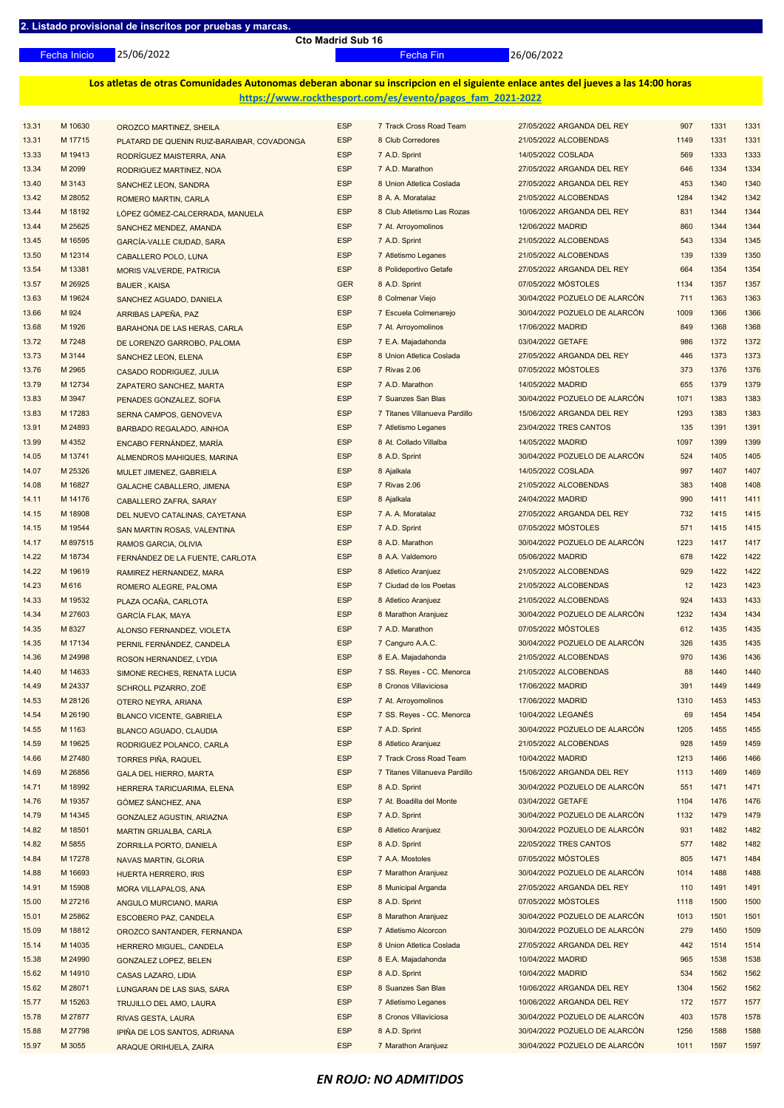25/06/2022 Fecha Inicio Fecha Fin 26/06/2022

**Los atletas de otras Comunidades Autonomas deberan abonar su inscripcion en el siguiente enlace antes del jueves a las 14:00 horas https://www.rockthesport.com/es/evento/pagos\_fam\_2021-2022**

| 13.31 | M 10630  |                                            | <b>ESP</b> | 7 Track Cross Road Team       | 27/05/2022 ARGANDA DEL REY    | 907  | 1331 | 1331 |
|-------|----------|--------------------------------------------|------------|-------------------------------|-------------------------------|------|------|------|
|       |          | OROZCO MARTINEZ, SHEILA                    |            |                               |                               |      |      |      |
| 13.31 | M 17715  | PLATARD DE QUENIN RUIZ-BARAIBAR, COVADONGA | <b>ESP</b> | 8 Club Corredores             | 21/05/2022 ALCOBENDAS         | 1149 | 1331 | 1331 |
| 13.33 | M 19413  | RODRÍGUEZ MAISTERRA, ANA                   | <b>ESP</b> | 7 A.D. Sprint                 | 14/05/2022 COSLADA            | 569  | 1333 | 1333 |
| 13.34 | M 2099   | RODRIGUEZ MARTINEZ, NOA                    | <b>ESP</b> | 7 A.D. Marathon               | 27/05/2022 ARGANDA DEL REY    | 646  | 1334 | 1334 |
| 13.40 | M 3143   | SANCHEZ LEON, SANDRA                       | <b>ESP</b> | 8 Union Atletica Coslada      | 27/05/2022 ARGANDA DEL REY    | 453  | 1340 | 1340 |
| 13.42 | M 28052  | ROMERO MARTIN, CARLA                       | <b>ESP</b> | 8 A. A. Moratalaz             | 21/05/2022 ALCOBENDAS         | 1284 | 1342 | 1342 |
| 13.44 | M 18192  | LÓPEZ GÓMEZ-CALCERRADA, MANUELA            | <b>ESP</b> | 8 Club Atletismo Las Rozas    | 10/06/2022 ARGANDA DEL REY    | 831  | 1344 | 1344 |
| 13.44 | M 25625  | SANCHEZ MENDEZ, AMANDA                     | <b>ESP</b> | 7 At. Arroyomolinos           | 12/06/2022 MADRID             | 860  | 1344 | 1344 |
| 13.45 | M 16595  | <b>GARCÍA-VALLE CIUDAD, SARA</b>           | <b>ESP</b> | 7 A.D. Sprint                 | 21/05/2022 ALCOBENDAS         | 543  | 1334 | 1345 |
| 13.50 | M 12314  | CABALLERO POLO, LUNA                       | <b>ESP</b> | 7 Atletismo Leganes           | 21/05/2022 ALCOBENDAS         | 139  | 1339 | 1350 |
|       |          |                                            | <b>ESP</b> |                               |                               |      |      | 1354 |
| 13.54 | M 13381  | MORIS VALVERDE, PATRICIA                   |            | 8 Polideportivo Getafe        | 27/05/2022 ARGANDA DEL REY    | 664  | 1354 |      |
| 13.57 | M 26925  | <b>BAUER, KAISA</b>                        | <b>GER</b> | 8 A.D. Sprint                 | 07/05/2022 MÓSTOLES           | 1134 | 1357 | 1357 |
| 13.63 | M 19624  | SANCHEZ AGUADO, DANIELA                    | <b>ESP</b> | 8 Colmenar Viejo              | 30/04/2022 POZUELO DE ALARCÓN | 711  | 1363 | 1363 |
| 13.66 | M 924    | ARRIBAS LAPEÑA, PAZ                        | <b>ESP</b> | 7 Escuela Colmenarejo         | 30/04/2022 POZUELO DE ALARCÓN | 1009 | 1366 | 1366 |
| 13.68 | M 1926   | BARAHONA DE LAS HERAS, CARLA               | <b>ESP</b> | 7 At. Arroyomolinos           | 17/06/2022 MADRID             | 849  | 1368 | 1368 |
| 13.72 | M 7248   | DE LORENZO GARROBO, PALOMA                 | <b>ESP</b> | 7 E.A. Majadahonda            | 03/04/2022 GETAFE             | 986  | 1372 | 1372 |
| 13.73 | M 3144   | SANCHEZ LEON, ELENA                        | <b>ESP</b> | 8 Union Atletica Coslada      | 27/05/2022 ARGANDA DEL REY    | 446  | 1373 | 1373 |
| 13.76 | M 2965   | CASADO RODRIGUEZ, JULIA                    | <b>ESP</b> | 7 Rivas 2.06                  | 07/05/2022 MÓSTOLES           | 373  | 1376 | 1376 |
| 13.79 | M 12734  | ZAPATERO SANCHEZ, MARTA                    | <b>ESP</b> | 7 A.D. Marathon               | 14/05/2022 MADRID             | 655  | 1379 | 1379 |
| 13.83 | M 3947   |                                            | <b>ESP</b> | 7 Suanzes San Blas            | 30/04/2022 POZUELO DE ALARCÓN | 1071 | 1383 | 1383 |
| 13.83 | M 17283  | PENADES GONZALEZ, SOFIA                    | <b>ESP</b> | 7 Titanes Villanueva Pardillo | 15/06/2022 ARGANDA DEL REY    | 1293 | 1383 | 1383 |
|       |          | SERNA CAMPOS, GENOVEVA                     |            |                               |                               |      |      |      |
| 13.91 | M 24893  | <b>BARBADO REGALADO, AINHOA</b>            | <b>ESP</b> | 7 Atletismo Leganes           | 23/04/2022 TRES CANTOS        | 135  | 1391 | 1391 |
| 13.99 | M 4352   | ENCABO FERNÁNDEZ, MARÍA                    | <b>ESP</b> | 8 At. Collado Villalba        | 14/05/2022 MADRID             | 1097 | 1399 | 1399 |
| 14.05 | M 13741  | ALMENDROS MAHIQUES, MARINA                 | <b>ESP</b> | 8 A.D. Sprint                 | 30/04/2022 POZUELO DE ALARCÓN | 524  | 1405 | 1405 |
| 14.07 | M 25326  | MULET JIMENEZ, GABRIELA                    | <b>ESP</b> | 8 Ajalkala                    | 14/05/2022 COSLADA            | 997  | 1407 | 1407 |
| 14.08 | M 16827  | <b>GALACHE CABALLERO, JIMENA</b>           | <b>ESP</b> | 7 Rivas 2.06                  | 21/05/2022 ALCOBENDAS         | 383  | 1408 | 1408 |
| 14.11 | M 14176  | <b>CABALLERO ZAFRA, SARAY</b>              | <b>ESP</b> | 8 Ajalkala                    | 24/04/2022 MADRID             | 990  | 1411 | 1411 |
| 14.15 | M 18908  | DEL NUEVO CATALINAS, CAYETANA              | <b>ESP</b> | 7 A. A. Moratalaz             | 27/05/2022 ARGANDA DEL REY    | 732  | 1415 | 1415 |
| 14.15 | M 19544  | SAN MARTIN ROSAS, VALENTINA                | <b>ESP</b> | 7 A.D. Sprint                 | 07/05/2022 MÓSTOLES           | 571  | 1415 | 1415 |
| 14.17 | M 897515 | RAMOS GARCIA, OLIVIA                       | <b>ESP</b> | 8 A.D. Marathon               | 30/04/2022 POZUELO DE ALARCÓN | 1223 | 1417 | 1417 |
| 14.22 | M 18734  |                                            | <b>ESP</b> | 8 A.A. Valdemoro              | 05/06/2022 MADRID             | 678  | 1422 | 1422 |
|       |          | FERNÁNDEZ DE LA FUENTE, CARLOTA            |            |                               |                               |      |      |      |
| 14.22 | M 19619  | RAMIREZ HERNANDEZ, MARA                    | <b>ESP</b> | 8 Atletico Aranjuez           | 21/05/2022 ALCOBENDAS         | 929  | 1422 | 1422 |
| 14.23 | M 616    | ROMERO ALEGRE, PALOMA                      | <b>ESP</b> | 7 Ciudad de los Poetas        | 21/05/2022 ALCOBENDAS         | 12   | 1423 | 1423 |
| 14.33 | M 19532  | PLAZA OCAÑA, CARLOTA                       | <b>ESP</b> | 8 Atletico Aranjuez           | 21/05/2022 ALCOBENDAS         | 924  | 1433 | 1433 |
| 14.34 | M 27603  | <b>GARCÍA FLAK, MAYA</b>                   | <b>ESP</b> | 8 Marathon Aranjuez           | 30/04/2022 POZUELO DE ALARCÓN | 1232 | 1434 | 1434 |
| 14.35 | M 8327   | ALONSO FERNANDEZ, VIOLETA                  | <b>ESP</b> | 7 A.D. Marathon               | 07/05/2022 MÓSTOLES           | 612  | 1435 | 1435 |
| 14.35 | M 17134  | PERNIL FERNÁNDEZ, CANDELA                  | <b>ESP</b> | 7 Canguro A.A.C.              | 30/04/2022 POZUELO DE ALARCÓN | 326  | 1435 | 1435 |
| 14.36 | M 24998  | ROSON HERNANDEZ, LYDIA                     | <b>ESP</b> | 8 E.A. Majadahonda            | 21/05/2022 ALCOBENDAS         | 970  | 1436 | 1436 |
| 14.40 | M 14633  | SIMONE RECHES, RENATA LUCIA                | <b>ESP</b> | 7 SS. Reyes - CC. Menorca     | 21/05/2022 ALCOBENDAS         | 88   | 1440 | 1440 |
| 14.49 | M 24337  | SCHROLL PIZARRO, ZOË                       | <b>ESP</b> | 8 Cronos Villaviciosa         | 17/06/2022 MADRID             | 391  | 1449 | 1449 |
| 14.53 | M 28126  | OTERO NEYRA, ARIANA                        | <b>ESP</b> | 7 At. Arroyomolinos           | 17/06/2022 MADRID             | 1310 | 1453 | 1453 |
| 14.54 | M 26190  |                                            | <b>ESP</b> | 7 SS. Reyes - CC. Menorca     | 10/04/2022 LEGANÉS            | 69   | 1454 | 1454 |
|       |          | <b>BLANCO VICENTE, GABRIELA</b>            |            |                               |                               |      |      |      |
| 14.55 | M 1163   | <b>BLANCO AGUADO, CLAUDIA</b>              | <b>ESP</b> | 7 A.D. Sprint                 | 30/04/2022 POZUELO DE ALARCÓN | 1205 | 1455 | 1455 |
| 14.59 | M 19625  | RODRIGUEZ POLANCO, CARLA                   | <b>ESP</b> | 8 Atletico Aranjuez           | 21/05/2022 ALCOBENDAS         | 928  | 1459 | 1459 |
| 14.66 | M 27480  | <b>TORRES PIÑA, RAQUEL</b>                 | <b>ESP</b> | 7 Track Cross Road Team       | 10/04/2022 MADRID             | 1213 | 1466 | 1466 |
| 14.69 | M 26856  | <b>GALA DEL HIERRO, MARTA</b>              | <b>ESP</b> | 7 Titanes Villanueva Pardillo | 15/06/2022 ARGANDA DEL REY    | 1113 | 1469 | 1469 |
| 14.71 | M 18992  | HERRERA TARICUARIMA, ELENA                 | <b>ESP</b> | 8 A.D. Sprint                 | 30/04/2022 POZUELO DE ALARCÓN | 551  | 1471 | 1471 |
| 14.76 | M 19357  | GÓMEZ SÁNCHEZ, ANA                         | <b>ESP</b> | 7 At. Boadilla del Monte      | 03/04/2022 GETAFE             | 1104 | 1476 | 1476 |
| 14.79 | M 14345  | <b>GONZALEZ AGUSTIN, ARIAZNA</b>           | <b>ESP</b> | 7 A.D. Sprint                 | 30/04/2022 POZUELO DE ALARCÓN | 1132 | 1479 | 1479 |
| 14.82 | M 18501  | <b>MARTIN GRIJALBA, CARLA</b>              | <b>ESP</b> | 8 Atletico Aranjuez           | 30/04/2022 POZUELO DE ALARCÓN | 931  | 1482 | 1482 |
| 14.82 | M 5855   | ZORRILLA PORTO, DANIELA                    | <b>ESP</b> | 8 A.D. Sprint                 | 22/05/2022 TRES CANTOS        | 577  | 1482 | 1482 |
| 14.84 | M 17278  | NAVAS MARTIN, GLORIA                       | <b>ESP</b> | 7 A.A. Mostoles               | 07/05/2022 MÓSTOLES           | 805  | 1471 | 1484 |
| 14.88 | M 16693  | HUERTA HERRERO, IRIS                       | <b>ESP</b> | 7 Marathon Aranjuez           | 30/04/2022 POZUELO DE ALARCÓN | 1014 | 1488 | 1488 |
| 14.91 | M 15908  |                                            | <b>ESP</b> | 8 Municipal Arganda           | 27/05/2022 ARGANDA DEL REY    | 110  | 1491 | 1491 |
|       |          | MORA VILLAPALOS, ANA                       |            |                               |                               |      |      |      |
| 15.00 | M 27216  | ANGULO MURCIANO, MARIA                     | <b>ESP</b> | 8 A.D. Sprint                 | 07/05/2022 MÓSTOLES           | 1118 | 1500 | 1500 |
| 15.01 | M 25862  | <b>ESCOBERO PAZ, CANDELA</b>               | <b>ESP</b> | 8 Marathon Aranjuez           | 30/04/2022 POZUELO DE ALARCÓN | 1013 | 1501 | 1501 |
| 15.09 | M 18812  | OROZCO SANTANDER, FERNANDA                 | <b>ESP</b> | 7 Atletismo Alcorcon          | 30/04/2022 POZUELO DE ALARCÓN | 279  | 1450 | 1509 |
| 15.14 | M 14035  | HERRERO MIGUEL, CANDELA                    | <b>ESP</b> | 8 Union Atletica Coslada      | 27/05/2022 ARGANDA DEL REY    | 442  | 1514 | 1514 |
| 15.38 | M 24990  | <b>GONZALEZ LOPEZ, BELEN</b>               | <b>ESP</b> | 8 E.A. Majadahonda            | 10/04/2022 MADRID             | 965  | 1538 | 1538 |
| 15.62 | M 14910  | <b>CASAS LAZARO, LIDIA</b>                 | <b>ESP</b> | 8 A.D. Sprint                 | 10/04/2022 MADRID             | 534  | 1562 | 1562 |
| 15.62 | M 28071  | LUNGARAN DE LAS SIAS, SARA                 | <b>ESP</b> | 8 Suanzes San Blas            | 10/06/2022 ARGANDA DEL REY    | 1304 | 1562 | 1562 |
| 15.77 | M 15263  | <b>TRUJILLO DEL AMO, LAURA</b>             | <b>ESP</b> | 7 Atletismo Leganes           | 10/06/2022 ARGANDA DEL REY    | 172  | 1577 | 1577 |
| 15.78 | M 27877  | RIVAS GESTA, LAURA                         | <b>ESP</b> | 8 Cronos Villaviciosa         | 30/04/2022 POZUELO DE ALARCÓN | 403  | 1578 | 1578 |
| 15.88 | M 27798  | IPIÑA DE LOS SANTOS, ADRIANA               | <b>ESP</b> | 8 A.D. Sprint                 | 30/04/2022 POZUELO DE ALARCÓN | 1256 | 1588 | 1588 |
| 15.97 | M 3055   |                                            | <b>ESP</b> | 7 Marathon Aranjuez           | 30/04/2022 POZUELO DE ALARCÓN | 1011 | 1597 | 1597 |
|       |          | ARAQUE ORIHUELA, ZAIRA                     |            |                               |                               |      |      |      |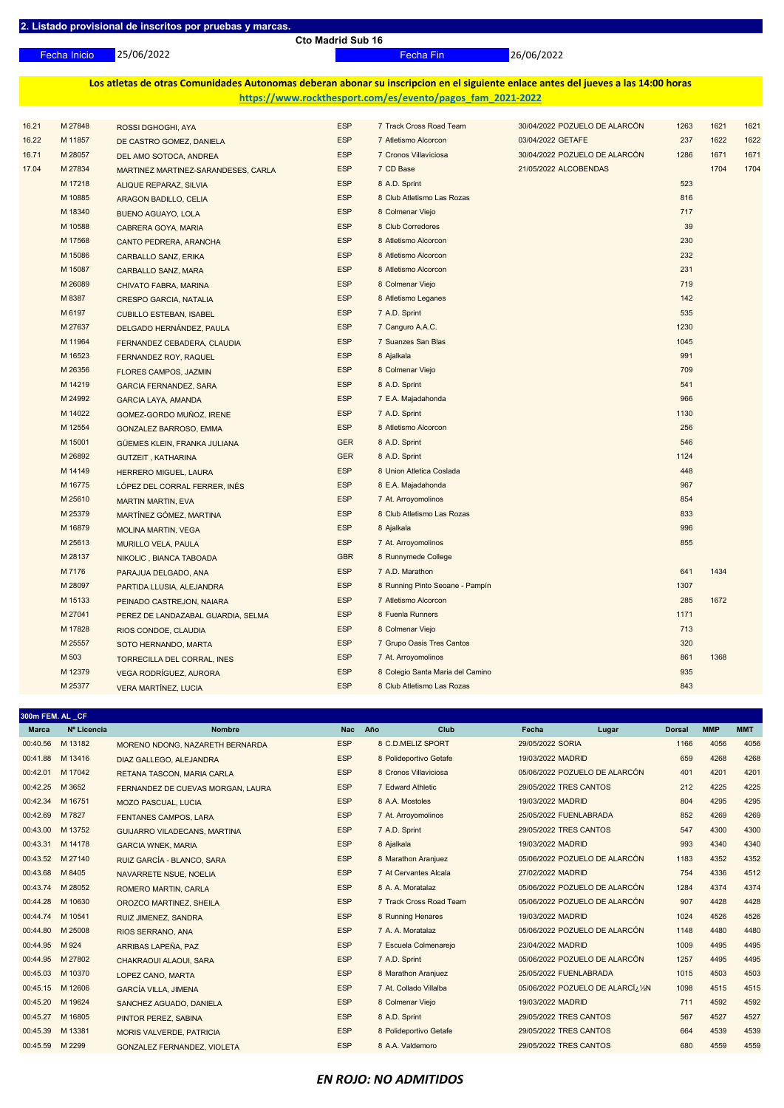25/06/2022 Fecha Inicio Fecha Fin 26/06/2022

**Los atletas de otras Comunidades Autonomas deberan abonar su inscripcion en el siguiente enlace antes del jueves a las 14:00 horas https://www.rockthesport.com/es/evento/pagos\_fam\_2021-2022**

| 16.21 | M 27848 | ROSSI DGHOGHI, AYA                  | <b>ESP</b> | 7 Track Cross Road Team          | 30/04/2022 POZUELO DE ALARCÓN | 1263 | 1621 | 1621 |
|-------|---------|-------------------------------------|------------|----------------------------------|-------------------------------|------|------|------|
| 16.22 | M 11857 | DE CASTRO GOMEZ, DANIELA            | <b>ESP</b> | 7 Atletismo Alcorcon             | 03/04/2022 GETAFE             | 237  | 1622 | 1622 |
| 16.71 | M 28057 | DEL AMO SOTOCA, ANDREA              | <b>ESP</b> | 7 Cronos Villaviciosa            | 30/04/2022 POZUELO DE ALARCÓN | 1286 | 1671 | 1671 |
| 17.04 | M 27834 | MARTINEZ MARTINEZ-SARANDESES, CARLA | <b>ESP</b> | 7 CD Base                        | 21/05/2022 ALCOBENDAS         |      | 1704 | 1704 |
|       | M 17218 | ALIQUE REPARAZ, SILVIA              | <b>ESP</b> | 8 A.D. Sprint                    |                               | 523  |      |      |
|       | M 10885 | ARAGON BADILLO, CELIA               | <b>ESP</b> | 8 Club Atletismo Las Rozas       |                               | 816  |      |      |
|       | M 18340 | <b>BUENO AGUAYO, LOLA</b>           | <b>ESP</b> | 8 Colmenar Viejo                 |                               | 717  |      |      |
|       | M 10588 | CABRERA GOYA, MARIA                 | <b>ESP</b> | 8 Club Corredores                |                               | 39   |      |      |
|       | M 17568 | CANTO PEDRERA, ARANCHA              | <b>ESP</b> | 8 Atletismo Alcorcon             |                               | 230  |      |      |
|       | M 15086 | <b>CARBALLO SANZ, ERIKA</b>         | <b>ESP</b> | 8 Atletismo Alcorcon             |                               | 232  |      |      |
|       | M 15087 | CARBALLO SANZ, MARA                 | <b>ESP</b> | 8 Atletismo Alcorcon             |                               | 231  |      |      |
|       | M 26089 | CHIVATO FABRA, MARINA               | <b>ESP</b> | 8 Colmenar Viejo                 |                               | 719  |      |      |
|       | M 8387  | <b>CRESPO GARCIA, NATALIA</b>       | <b>ESP</b> | 8 Atletismo Leganes              |                               | 142  |      |      |
|       | M 6197  | <b>CUBILLO ESTEBAN, ISABEL</b>      | <b>ESP</b> | 7 A.D. Sprint                    |                               | 535  |      |      |
|       | M 27637 | DELGADO HERNÁNDEZ, PAULA            | <b>ESP</b> | 7 Canguro A.A.C.                 |                               | 1230 |      |      |
|       | M 11964 | FERNANDEZ CEBADERA, CLAUDIA         | <b>ESP</b> | 7 Suanzes San Blas               |                               | 1045 |      |      |
|       | M 16523 | FERNANDEZ ROY, RAQUEL               | <b>ESP</b> | 8 Ajalkala                       |                               | 991  |      |      |
|       | M 26356 | <b>FLORES CAMPOS, JAZMIN</b>        | <b>ESP</b> | 8 Colmenar Viejo                 |                               | 709  |      |      |
|       | M 14219 | <b>GARCIA FERNANDEZ, SARA</b>       | <b>ESP</b> | 8 A.D. Sprint                    |                               | 541  |      |      |
|       | M 24992 | <b>GARCIA LAYA, AMANDA</b>          | <b>ESP</b> | 7 E.A. Majadahonda               |                               | 966  |      |      |
|       | M 14022 | GOMEZ-GORDO MUÑOZ, IRENE            | <b>ESP</b> | 7 A.D. Sprint                    |                               | 1130 |      |      |
|       | M 12554 | GONZALEZ BARROSO, EMMA              | <b>ESP</b> | 8 Atletismo Alcorcon             |                               | 256  |      |      |
|       | M 15001 | GÜEMES KLEIN, FRANKA JULIANA        | <b>GER</b> | 8 A.D. Sprint                    |                               | 546  |      |      |
|       | M 26892 | <b>GUTZEIT, KATHARINA</b>           | <b>GER</b> | 8 A.D. Sprint                    |                               | 1124 |      |      |
|       | M 14149 | <b>HERRERO MIGUEL, LAURA</b>        | <b>ESP</b> | 8 Union Atletica Coslada         |                               | 448  |      |      |
|       | M 16775 | LÓPEZ DEL CORRAL FERRER, INÉS       | <b>ESP</b> | 8 E.A. Majadahonda               |                               | 967  |      |      |
|       | M 25610 | <b>MARTIN MARTIN, EVA</b>           | <b>ESP</b> | 7 At. Arroyomolinos              |                               | 854  |      |      |
|       | M 25379 | MARTÍNEZ GÓMEZ, MARTINA             | <b>ESP</b> | 8 Club Atletismo Las Rozas       |                               | 833  |      |      |
|       | M 16879 | <b>MOLINA MARTIN, VEGA</b>          | <b>ESP</b> | 8 Ajalkala                       |                               | 996  |      |      |
|       | M 25613 | <b>MURILLO VELA, PAULA</b>          | <b>ESP</b> | 7 At. Arroyomolinos              |                               | 855  |      |      |
|       | M 28137 | NIKOLIC, BIANCA TABOADA             | <b>GBR</b> | 8 Runnymede College              |                               |      |      |      |
|       | M 7176  | PARAJUA DELGADO, ANA                | <b>ESP</b> | 7 A.D. Marathon                  |                               | 641  | 1434 |      |
|       | M 28097 | PARTIDA LLUSIA, ALEJANDRA           | <b>ESP</b> | 8 Running Pinto Seoane - Pampín  |                               | 1307 |      |      |
|       | M 15133 | PEINADO CASTREJON, NAIARA           | <b>ESP</b> | 7 Atletismo Alcorcon             |                               | 285  | 1672 |      |
|       | M 27041 | PEREZ DE LANDAZABAL GUARDIA, SELMA  | <b>ESP</b> | 8 Fuenla Runners                 |                               | 1171 |      |      |
|       | M 17828 | RIOS CONDOE, CLAUDIA                | <b>ESP</b> | 8 Colmenar Viejo                 |                               | 713  |      |      |
|       | M 25557 | SOTO HERNANDO, MARTA                | <b>ESP</b> | 7 Grupo Oasis Tres Cantos        |                               | 320  |      |      |
|       | M 503   | TORRECILLA DEL CORRAL, INES         | <b>ESP</b> | 7 At. Arroyomolinos              |                               | 861  | 1368 |      |
|       | M 12379 | VEGA RODRÍGUEZ, AURORA              | <b>ESP</b> | 8 Colegio Santa Maria del Camino |                               | 935  |      |      |
|       | M 25377 | <b>VERA MARTÍNEZ, LUCIA</b>         | <b>ESP</b> | 8 Club Atletismo Las Rozas       |                               | 843  |      |      |
|       |         |                                     |            |                                  |                               |      |      |      |

| 300m FEM. AL_CF  |             |                                     |            |                         |                        |                                   |               |            |            |  |
|------------------|-------------|-------------------------------------|------------|-------------------------|------------------------|-----------------------------------|---------------|------------|------------|--|
| <b>Marca</b>     | Nº Licencia | <b>Nombre</b>                       | <b>Nac</b> | Año<br>Club             | Fecha                  | Lugar                             | <b>Dorsal</b> | <b>MMP</b> | <b>MMT</b> |  |
| 00:40.56         | M 13182     | MORENO NDONG, NAZARETH BERNARDA     | <b>ESP</b> | 8 C.D.MELIZ SPORT       | 29/05/2022 SORIA       |                                   | 1166          | 4056       | 4056       |  |
| 00:41.88         | M 13416     | DIAZ GALLEGO, ALEJANDRA             | <b>ESP</b> | 8 Polideportivo Getafe  | 19/03/2022 MADRID      |                                   | 659           | 4268       | 4268       |  |
| 00:42.01         | M 17042     | RETANA TASCON, MARIA CARLA          | <b>ESP</b> | 8 Cronos Villaviciosa   |                        | 05/06/2022 POZUELO DE ALARCÓN     | 401           | 4201       | 4201       |  |
| 00:42.25         | M 3652      | FERNANDEZ DE CUEVAS MORGAN, LAURA   | <b>ESP</b> | 7 Edward Athletic       | 29/05/2022 TRES CANTOS |                                   | 212           | 4225       | 4225       |  |
| 00:42.34         | M 16751     | <b>MOZO PASCUAL, LUCIA</b>          | <b>ESP</b> | 8 A.A. Mostoles         | 19/03/2022 MADRID      |                                   | 804           | 4295       | 4295       |  |
| 00:42.69         | M 7827      | <b>FENTANES CAMPOS, LARA</b>        | <b>ESP</b> | 7 At. Arroyomolinos     | 25/05/2022 FUENLABRADA |                                   | 852           | 4269       | 4269       |  |
| 00:43.00         | M 13752     | <b>GUIJARRO VILADECANS, MARTINA</b> | <b>ESP</b> | 7 A.D. Sprint           | 29/05/2022 TRES CANTOS |                                   | 547           | 4300       | 4300       |  |
| 00:43.31         | M 14178     | <b>GARCIA WNEK, MARIA</b>           | <b>ESP</b> | 8 Ajalkala              | 19/03/2022 MADRID      |                                   | 993           | 4340       | 4340       |  |
| 00:43.52         | M 27140     | RUIZ GARCÍA - BLANCO, SARA          | <b>ESP</b> | 8 Marathon Aranjuez     |                        | 05/06/2022 POZUELO DE ALARCÓN     | 1183          | 4352       | 4352       |  |
| 00:43.68         | M 8405      | NAVARRETE NSUE, NOELIA              | <b>ESP</b> | 7 At Cervantes Alcala   | 27/02/2022 MADRID      |                                   | 754           | 4336       | 4512       |  |
| 00:43.74         | M 28052     | <b>ROMERO MARTIN, CARLA</b>         | <b>ESP</b> | 8 A. A. Moratalaz       |                        | 05/06/2022 POZUELO DE ALARCÓN     | 1284          | 4374       | 4374       |  |
| 00:44.28         | M 10630     | OROZCO MARTINEZ, SHEILA             | <b>ESP</b> | 7 Track Cross Road Team |                        | 05/06/2022 POZUELO DE ALARCÓN     | 907           | 4428       | 4428       |  |
| 00:44.74         | M 10541     | RUIZ JIMENEZ, SANDRA                | <b>ESP</b> | 8 Running Henares       | 19/03/2022 MADRID      |                                   | 1024          | 4526       | 4526       |  |
| 00:44.80 M 25008 |             | RIOS SERRANO, ANA                   | <b>ESP</b> | 7 A. A. Moratalaz       |                        | 05/06/2022 POZUELO DE ALARCÓN     | 1148          | 4480       | 4480       |  |
| 00:44.95         | M 924       | ARRIBAS LAPEÑA, PAZ                 | <b>ESP</b> | 7 Escuela Colmenarejo   | 23/04/2022 MADRID      |                                   | 1009          | 4495       | 4495       |  |
| 00:44.95         | M 27802     | CHAKRAOUI ALAOUI, SARA              | <b>ESP</b> | 7 A.D. Sprint           |                        | 05/06/2022 POZUELO DE ALARCÓN     | 1257          | 4495       | 4495       |  |
| 00:45.03         | M 10370     | LOPEZ CANO, MARTA                   | <b>ESP</b> | 8 Marathon Aranjuez     | 25/05/2022 FUENLABRADA |                                   | 1015          | 4503       | 4503       |  |
| 00:45.15         | M 12606     | <b>GARCÍA VILLA, JIMENA</b>         | <b>ESP</b> | 7 At. Collado Villalba  |                        | 05/06/2022 POZUELO DE ALARCI¿!⁄2N | 1098          | 4515       | 4515       |  |
| 00:45.20         | M 19624     | SANCHEZ AGUADO, DANIELA             | <b>ESP</b> | 8 Colmenar Viejo        | 19/03/2022 MADRID      |                                   | 711           | 4592       | 4592       |  |
| 00:45.27         | M 16805     | PINTOR PEREZ, SABINA                | <b>ESP</b> | 8 A.D. Sprint           | 29/05/2022 TRES CANTOS |                                   | 567           | 4527       | 4527       |  |
| 00:45.39         | M 13381     | <b>MORIS VALVERDE, PATRICIA</b>     | <b>ESP</b> | 8 Polideportivo Getafe  | 29/05/2022 TRES CANTOS |                                   | 664           | 4539       | 4539       |  |
| 00:45.59         | M 2299      | GONZALEZ FERNANDEZ, VIOLETA         | <b>ESP</b> | 8 A.A. Valdemoro        | 29/05/2022 TRES CANTOS |                                   | 680           | 4559       | 4559       |  |
|                  |             |                                     |            |                         |                        |                                   |               |            |            |  |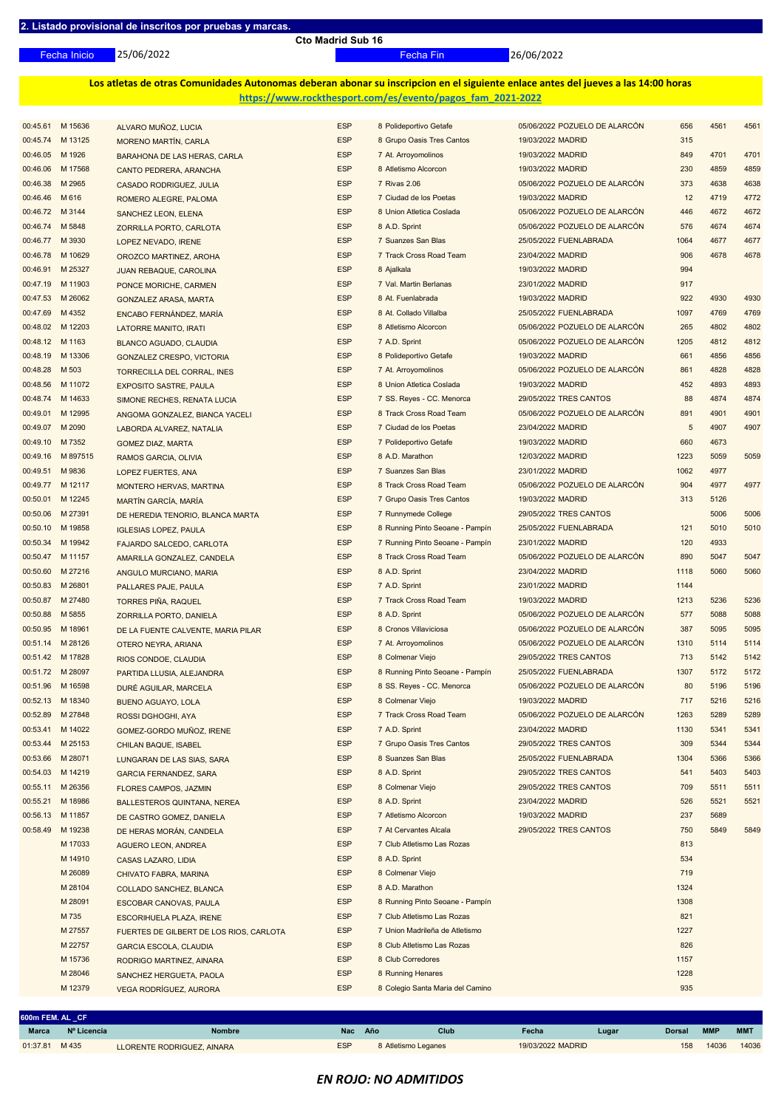**600m FEM. AL \_CF**

**Cto Madrid Sub 16**

25/06/2022 Fecha Inicio Fecha Fin 26/06/2022

**Los atletas de otras Comunidades Autonomas deberan abonar su inscripcion en el siguiente enlace antes del jueves a las 14:00 horas https://www.rockthesport.com/es/evento/pagos\_fam\_2021-2022**

| 00:45.61         | M 15636  |                                         | <b>ESP</b> | 8 Polideportivo Getafe           | 05/06/2022 POZUELO DE ALARCÓN | 656             | 4561 | 4561 |
|------------------|----------|-----------------------------------------|------------|----------------------------------|-------------------------------|-----------------|------|------|
| 00:45.74         | M 13125  | ALVARO MUÑOZ, LUCIA                     | <b>ESP</b> | 8 Grupo Oasis Tres Cantos        | 19/03/2022 MADRID             | 315             |      |      |
| 00:46.05         | M 1926   | <b>MORENO MARTÍN, CARLA</b>             | <b>ESP</b> | 7 At. Arroyomolinos              | 19/03/2022 MADRID             | 849             | 4701 | 4701 |
| 00:46.06         | M 17568  | BARAHONA DE LAS HERAS, CARLA            | <b>ESP</b> | 8 Atletismo Alcorcon             | 19/03/2022 MADRID             | 230             | 4859 | 4859 |
| 00:46.38         | M 2965   | CANTO PEDRERA, ARANCHA                  | <b>ESP</b> | 7 Rivas 2.06                     | 05/06/2022 POZUELO DE ALARCÓN | 373             | 4638 | 4638 |
| 00:46.46         | M 616    | <b>CASADO RODRIGUEZ, JULIA</b>          | <b>ESP</b> | 7 Ciudad de los Poetas           | 19/03/2022 MADRID             | 12              | 4719 | 4772 |
|                  |          | ROMERO ALEGRE, PALOMA                   |            |                                  |                               |                 |      |      |
| 00:46.72         | M 3144   | SANCHEZ LEON, ELENA                     | <b>ESP</b> | 8 Union Atletica Coslada         | 05/06/2022 POZUELO DE ALARCÓN | 446             | 4672 | 4672 |
| 00:46.74         | M 5848   | ZORRILLA PORTO, CARLOTA                 | <b>ESP</b> | 8 A.D. Sprint                    | 05/06/2022 POZUELO DE ALARCÓN | 576             | 4674 | 4674 |
| 00:46.77         | M 3930   | LOPEZ NEVADO, IRENE                     | <b>ESP</b> | 7 Suanzes San Blas               | 25/05/2022 FUENLABRADA        | 1064            | 4677 | 4677 |
| 00:46.78         | M 10629  | OROZCO MARTINEZ, AROHA                  | <b>ESP</b> | 7 Track Cross Road Team          | 23/04/2022 MADRID             | 906             | 4678 | 4678 |
| 00:46.91         | M 25327  | JUAN REBAQUE, CAROLINA                  | <b>ESP</b> | 8 Ajalkala                       | 19/03/2022 MADRID             | 994             |      |      |
| 00:47.19         | M 11903  | PONCE MORICHE, CARMEN                   | <b>ESP</b> | 7 Val. Martin Berlanas           | 23/01/2022 MADRID             | 917             |      |      |
| 00:47.53         | M 26062  | <b>GONZALEZ ARASA, MARTA</b>            | <b>ESP</b> | 8 At. Fuenlabrada                | 19/03/2022 MADRID             | 922             | 4930 | 4930 |
| 00:47.69         | M 4352   | ENCABO FERNÁNDEZ, MARÍA                 | <b>ESP</b> | 8 At. Collado Villalba           | 25/05/2022 FUENLABRADA        | 1097            | 4769 | 4769 |
| 00:48.02         | M 12203  | <b>LATORRE MANITO, IRATI</b>            | <b>ESP</b> | 8 Atletismo Alcorcon             | 05/06/2022 POZUELO DE ALARCÓN | 265             | 4802 | 4802 |
| 00:48.12 M 1163  |          | <b>BLANCO AGUADO, CLAUDIA</b>           | <b>ESP</b> | 7 A.D. Sprint                    | 05/06/2022 POZUELO DE ALARCÓN | 1205            | 4812 | 4812 |
| 00:48.19         | M 13306  | <b>GONZALEZ CRESPO, VICTORIA</b>        | <b>ESP</b> | 8 Polideportivo Getafe           | 19/03/2022 MADRID             | 661             | 4856 | 4856 |
| 00:48.28         | M 503    | TORRECILLA DEL CORRAL, INES             | <b>ESP</b> | 7 At. Arroyomolinos              | 05/06/2022 POZUELO DE ALARCÓN | 861             | 4828 | 4828 |
| 00:48.56         | M 11072  | <b>EXPOSITO SASTRE, PAULA</b>           | <b>ESP</b> | 8 Union Atletica Coslada         | 19/03/2022 MADRID             | 452             | 4893 | 4893 |
| 00:48.74         | M 14633  | SIMONE RECHES, RENATA LUCIA             | <b>ESP</b> | 7 SS. Reyes - CC. Menorca        | 29/05/2022 TRES CANTOS        | 88              | 4874 | 4874 |
| 00:49.01         | M 12995  | ANGOMA GONZALEZ, BIANCA YACELI          | <b>ESP</b> | 8 Track Cross Road Team          | 05/06/2022 POZUELO DE ALARCÓN | 891             | 4901 | 4901 |
| 00:49.07         | M 2090   | LABORDA ALVAREZ, NATALIA                | <b>ESP</b> | 7 Ciudad de los Poetas           | 23/04/2022 MADRID             | $5\phantom{.0}$ | 4907 | 4907 |
| 00:49.10         | M 7352   | <b>GOMEZ DIAZ, MARTA</b>                | <b>ESP</b> | 7 Polideportivo Getafe           | 19/03/2022 MADRID             | 660             | 4673 |      |
| 00:49.16         | M 897515 | RAMOS GARCIA, OLIVIA                    | <b>ESP</b> | 8 A.D. Marathon                  | 12/03/2022 MADRID             | 1223            | 5059 | 5059 |
| 00:49.51         | M 9836   | LOPEZ FUERTES, ANA                      | <b>ESP</b> | 7 Suanzes San Blas               | 23/01/2022 MADRID             | 1062            | 4977 |      |
| 00:49.77         | M 12117  | <b>MONTERO HERVAS, MARTINA</b>          | <b>ESP</b> | 8 Track Cross Road Team          | 05/06/2022 POZUELO DE ALARCÓN | 904             | 4977 | 4977 |
| 00:50.01         | M 12245  | MARTÍN GARCÍA, MARÍA                    | <b>ESP</b> | 7 Grupo Oasis Tres Cantos        | 19/03/2022 MADRID             | 313             | 5126 |      |
| 00:50.06         | M 27391  | DE HEREDIA TENORIO, BLANCA MARTA        | <b>ESP</b> | 7 Runnymede College              | 29/05/2022 TRES CANTOS        |                 | 5006 | 5006 |
| 00:50.10         | M 19858  | <b>IGLESIAS LOPEZ, PAULA</b>            | <b>ESP</b> | 8 Running Pinto Seoane - Pampín  | 25/05/2022 FUENLABRADA        | 121             | 5010 | 5010 |
| 00:50.34 M 19942 |          | FAJARDO SALCEDO, CARLOTA                | <b>ESP</b> | 7 Running Pinto Seoane - Pampín  | 23/01/2022 MADRID             | 120             | 4933 |      |
| 00:50.47 M 11157 |          | AMARILLA GONZALEZ, CANDELA              | <b>ESP</b> | 8 Track Cross Road Team          | 05/06/2022 POZUELO DE ALARCÓN | 890             | 5047 | 5047 |
| 00:50.60 M 27216 |          | ANGULO MURCIANO, MARIA                  | <b>ESP</b> | 8 A.D. Sprint                    | 23/04/2022 MADRID             | 1118            | 5060 | 5060 |
| 00:50.83         | M 26801  | PALLARES PAJE, PAULA                    | <b>ESP</b> | 7 A.D. Sprint                    | 23/01/2022 MADRID             | 1144            |      |      |
| 00:50.87         | M 27480  | <b>TORRES PIÑA, RAQUEL</b>              | <b>ESP</b> | 7 Track Cross Road Team          | 19/03/2022 MADRID             | 1213            | 5236 | 5236 |
| 00:50.88         | M 5855   | ZORRILLA PORTO, DANIELA                 | <b>ESP</b> | 8 A.D. Sprint                    | 05/06/2022 POZUELO DE ALARCÓN | 577             | 5088 | 5088 |
| 00:50.95         | M 18961  | DE LA FUENTE CALVENTE, MARIA PILAR      | <b>ESP</b> | 8 Cronos Villaviciosa            | 05/06/2022 POZUELO DE ALARCÓN | 387             | 5095 | 5095 |
| 00:51.14 M 28126 |          | OTERO NEYRA, ARIANA                     | <b>ESP</b> | 7 At. Arroyomolinos              | 05/06/2022 POZUELO DE ALARCÓN | 1310            | 5114 | 5114 |
| 00:51.42 M 17828 |          | RIOS CONDOE, CLAUDIA                    | <b>ESP</b> | 8 Colmenar Viejo                 | 29/05/2022 TRES CANTOS        | 713             | 5142 | 5142 |
| 00:51.72 M 28097 |          | PARTIDA LLUSIA, ALEJANDRA               | <b>ESP</b> | 8 Running Pinto Seoane - Pampín  | 25/05/2022 FUENLABRADA        | 1307            | 5172 | 5172 |
| 00:51.96         | M 16598  | DURÉ AGUILAR, MARCELA                   | <b>ESP</b> | 8 SS. Reyes - CC. Menorca        | 05/06/2022 POZUELO DE ALARCÓN | 80              | 5196 | 5196 |
| 00:52.13         | M 18340  |                                         | <b>ESP</b> | 8 Colmenar Viejo                 | 19/03/2022 MADRID             | 717             | 5216 | 5216 |
| 00:52.89         | M 27848  | <b>BUENO AGUAYO, LOLA</b>               | <b>ESP</b> | 7 Track Cross Road Team          | 05/06/2022 POZUELO DE ALARCÓN | 1263            | 5289 | 5289 |
| 00:53.41         | M 14022  | ROSSI DGHOGHI, AYA                      | <b>ESP</b> | 7 A.D. Sprint                    | 23/04/2022 MADRID             | 1130            | 5341 | 5341 |
| 00:53.44 M 25153 |          | GOMEZ-GORDO MUÑOZ, IRENE                | <b>ESP</b> | 7 Grupo Oasis Tres Cantos        | 29/05/2022 TRES CANTOS        | 309             | 5344 | 5344 |
|                  |          | <b>CHILAN BAQUE, ISABEL</b>             | <b>ESP</b> | 8 Suanzes San Blas               |                               | 1304            | 5366 | 5366 |
| 00:53.66         | M 28071  | LUNGARAN DE LAS SIAS, SARA              |            |                                  | 25/05/2022 FUENLABRADA        |                 |      |      |
| 00:54.03         | M 14219  | <b>GARCIA FERNANDEZ, SARA</b>           | <b>ESP</b> | 8 A.D. Sprint                    | 29/05/2022 TRES CANTOS        | 541             | 5403 | 5403 |
| 00:55.11         | M 26356  | <b>FLORES CAMPOS, JAZMIN</b>            | <b>ESP</b> | 8 Colmenar Viejo                 | 29/05/2022 TRES CANTOS        | 709             | 5511 | 5511 |
| 00:55.21         | M 18986  | <b>BALLESTEROS QUINTANA, NEREA</b>      | <b>ESP</b> | 8 A.D. Sprint                    | 23/04/2022 MADRID             | 526             | 5521 | 5521 |
| 00:56.13         | M 11857  | DE CASTRO GOMEZ, DANIELA                | <b>ESP</b> | 7 Atletismo Alcorcon             | 19/03/2022 MADRID             | 237             | 5689 |      |
| 00:58.49         | M 19238  | DE HERAS MORÁN, CANDELA                 | <b>ESP</b> | 7 At Cervantes Alcala            | 29/05/2022 TRES CANTOS        | 750             | 5849 | 5849 |
|                  | M 17033  | AGUERO LEON, ANDREA                     | <b>ESP</b> | 7 Club Atletismo Las Rozas       |                               | 813             |      |      |
|                  | M 14910  | <b>CASAS LAZARO, LIDIA</b>              | <b>ESP</b> | 8 A.D. Sprint                    |                               | 534             |      |      |
|                  | M 26089  | CHIVATO FABRA, MARINA                   | <b>ESP</b> | 8 Colmenar Viejo                 |                               | 719             |      |      |
|                  | M 28104  | COLLADO SANCHEZ, BLANCA                 | <b>ESP</b> | 8 A.D. Marathon                  |                               | 1324            |      |      |
|                  | M 28091  | <b>ESCOBAR CANOVAS, PAULA</b>           | <b>ESP</b> | 8 Running Pinto Seoane - Pampín  |                               | 1308            |      |      |
|                  | M 735    | <b>ESCORIHUELA PLAZA, IRENE</b>         | <b>ESP</b> | 7 Club Atletismo Las Rozas       |                               | 821             |      |      |
|                  | M 27557  | FUERTES DE GILBERT DE LOS RIOS, CARLOTA | <b>ESP</b> | 7 Union Madrileña de Atletismo   |                               | 1227            |      |      |
|                  | M 22757  | <b>GARCIA ESCOLA, CLAUDIA</b>           | <b>ESP</b> | 8 Club Atletismo Las Rozas       |                               | 826             |      |      |
|                  | M 15736  | RODRIGO MARTINEZ, AINARA                | <b>ESP</b> | 8 Club Corredores                |                               | 1157            |      |      |
|                  | M 28046  | SANCHEZ HERGUETA, PAOLA                 | <b>ESP</b> | 8 Running Henares                |                               | 1228            |      |      |
|                  | M 12379  | VEGA RODRÍGUEZ, AURORA                  | <b>ESP</b> | 8 Colegio Santa Maria del Camino |                               | 935             |      |      |
|                  |          |                                         |            |                                  |                               |                 |      |      |

## *EN ROJO: NO ADMITIDOS*

**Marca Nº Licencia Nombre Nac Año Club Fecha Lugar Dorsal MMP MMT** 01:37.81 M 435 LLORENTE RODRIGUEZ, AINARA ESP 8 Atletismo Leganes 19/03/2022 MADRID 158 14036 14036 14036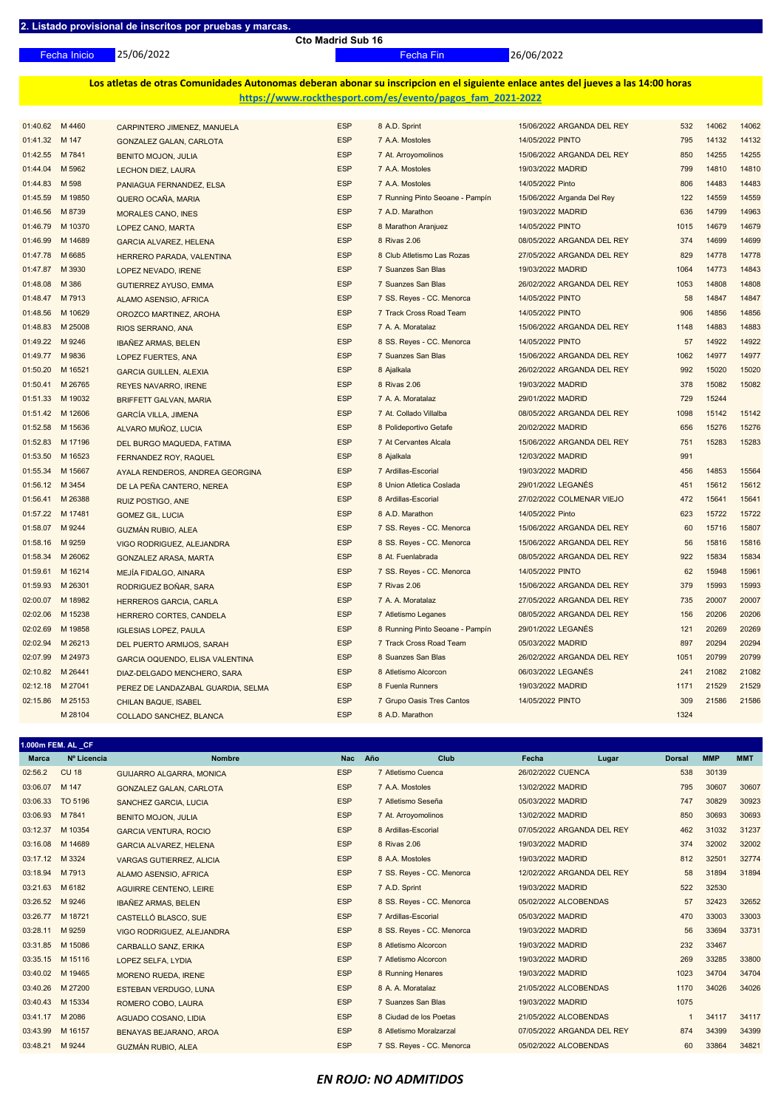**1.000m FEM. AL \_CF**

**Cto Madrid Sub 16**

25/06/2022 Fecha Inicio Fecha Fin 26/06/2022

**Los atletas de otras Comunidades Autonomas deberan abonar su inscripcion en el siguiente enlace antes del jueves a las 14:00 horas https://www.rockthesport.com/es/evento/pagos\_fam\_2021-2022**

| 01:40.62         | M 4460           | CARPINTERO JIMENEZ, MANUELA        | <b>ESP</b> | 8 A.D. Sprint                   | 15/06/2022 ARGANDA DEL REY | 532  | 14062 | 14062 |
|------------------|------------------|------------------------------------|------------|---------------------------------|----------------------------|------|-------|-------|
| 01:41.32         | M 147            | <b>GONZALEZ GALAN, CARLOTA</b>     | <b>ESP</b> | 7 A.A. Mostoles                 | 14/05/2022 PINTO           | 795  | 14132 | 14132 |
| 01:42.55 M 7841  |                  | <b>BENITO MOJON, JULIA</b>         | <b>ESP</b> | 7 At. Arroyomolinos             | 15/06/2022 ARGANDA DEL REY | 850  | 14255 | 14255 |
| 01:44.04         | M 5962           | <b>LECHON DIEZ, LAURA</b>          | <b>ESP</b> | 7 A.A. Mostoles                 | 19/03/2022 MADRID          | 799  | 14810 | 14810 |
| 01:44.83         | M 598            | PANIAGUA FERNANDEZ, ELSA           | <b>ESP</b> | 7 A.A. Mostoles                 | 14/05/2022 Pinto           | 806  | 14483 | 14483 |
| 01:45.59         | M 19850          | QUERO OCAÑA, MARIA                 | <b>ESP</b> | 7 Running Pinto Seoane - Pampín | 15/06/2022 Arganda Del Rey | 122  | 14559 | 14559 |
| 01:46.56         | M 8739           | <b>MORALES CANO, INES</b>          | <b>ESP</b> | 7 A.D. Marathon                 | 19/03/2022 MADRID          | 636  | 14799 | 14963 |
| 01:46.79         | M 10370          | LOPEZ CANO, MARTA                  | <b>ESP</b> | 8 Marathon Aranjuez             | 14/05/2022 PINTO           | 1015 | 14679 | 14679 |
| 01:46.99         | M 14689          | <b>GARCIA ALVAREZ, HELENA</b>      | <b>ESP</b> | 8 Rivas 2.06                    | 08/05/2022 ARGANDA DEL REY | 374  | 14699 | 14699 |
| 01:47.78 M 6685  |                  | HERRERO PARADA, VALENTINA          | <b>ESP</b> | 8 Club Atletismo Las Rozas      | 27/05/2022 ARGANDA DEL REY | 829  | 14778 | 14778 |
| 01:47.87         | M 3930           | LOPEZ NEVADO, IRENE                | <b>ESP</b> | 7 Suanzes San Blas              | 19/03/2022 MADRID          | 1064 | 14773 | 14843 |
| 01:48.08 M 386   |                  | <b>GUTIERREZ AYUSO, EMMA</b>       | <b>ESP</b> | 7 Suanzes San Blas              | 26/02/2022 ARGANDA DEL REY | 1053 | 14808 | 14808 |
| 01:48.47         | M 7913           | ALAMO ASENSIO, AFRICA              | <b>ESP</b> | 7 SS. Reyes - CC. Menorca       | 14/05/2022 PINTO           | 58   | 14847 | 14847 |
| 01:48.56         | M 10629          | OROZCO MARTINEZ, AROHA             | <b>ESP</b> | 7 Track Cross Road Team         | 14/05/2022 PINTO           | 906  | 14856 | 14856 |
| 01:48.83         | M 25008          | RIOS SERRANO, ANA                  | <b>ESP</b> | 7 A. A. Moratalaz               | 15/06/2022 ARGANDA DEL REY | 1148 | 14883 | 14883 |
| 01:49.22         | M 9246           | <b>IBAÑEZ ARMAS, BELEN</b>         | <b>ESP</b> | 8 SS. Reyes - CC. Menorca       | 14/05/2022 PINTO           | 57   | 14922 | 14922 |
| 01:49.77         | M 9836           | LOPEZ FUERTES, ANA                 | <b>ESP</b> | 7 Suanzes San Blas              | 15/06/2022 ARGANDA DEL REY | 1062 | 14977 | 14977 |
| 01:50.20         | M 16521          | <b>GARCIA GUILLEN, ALEXIA</b>      | <b>ESP</b> | 8 Ajalkala                      | 26/02/2022 ARGANDA DEL REY | 992  | 15020 | 15020 |
| 01:50.41 M 26765 |                  | <b>REYES NAVARRO, IRENE</b>        | <b>ESP</b> | 8 Rivas 2.06                    | 19/03/2022 MADRID          | 378  | 15082 | 15082 |
| 01:51.33         | M 19032          | <b>BRIFFETT GALVAN, MARIA</b>      | <b>ESP</b> | 7 A. A. Moratalaz               | 29/01/2022 MADRID          | 729  | 15244 |       |
| 01:51.42         | M 12606          | <b>GARCÍA VILLA, JIMENA</b>        | <b>ESP</b> | 7 At. Collado Villalba          | 08/05/2022 ARGANDA DEL REY | 1098 | 15142 | 15142 |
| 01:52.58         | M 15636          | ALVARO MUÑOZ, LUCIA                | <b>ESP</b> | 8 Polideportivo Getafe          | 20/02/2022 MADRID          | 656  | 15276 | 15276 |
| 01:52.83         | M 17196          | DEL BURGO MAQUEDA, FATIMA          | <b>ESP</b> | 7 At Cervantes Alcala           | 15/06/2022 ARGANDA DEL REY | 751  | 15283 | 15283 |
| 01:53.50         | M 16523          | FERNANDEZ ROY, RAQUEL              | <b>ESP</b> | 8 Ajalkala                      | 12/03/2022 MADRID          | 991  |       |       |
| 01:55.34         | M 15667          | AYALA RENDEROS, ANDREA GEORGINA    | <b>ESP</b> | 7 Ardillas-Escorial             | 19/03/2022 MADRID          | 456  | 14853 | 15564 |
| 01:56.12 M 3454  |                  | DE LA PEÑA CANTERO, NEREA          | <b>ESP</b> | 8 Union Atletica Coslada        | 29/01/2022 LEGANÉS         | 451  | 15612 | 15612 |
| 01:56.41         | M 26388          | RUIZ POSTIGO, ANE                  | <b>ESP</b> | 8 Ardillas-Escorial             | 27/02/2022 COLMENAR VIEJO  | 472  | 15641 | 15641 |
| 01:57.22         | M 17481          | <b>GOMEZ GIL, LUCIA</b>            | <b>ESP</b> | 8 A.D. Marathon                 | 14/05/2022 Pinto           | 623  | 15722 | 15722 |
| 01:58.07         | M 9244           | <b>GUZMÁN RUBIO, ALEA</b>          | <b>ESP</b> | 7 SS. Reyes - CC. Menorca       | 15/06/2022 ARGANDA DEL REY | 60   | 15716 | 15807 |
| 01:58.16 M 9259  |                  | VIGO RODRIGUEZ, ALEJANDRA          | <b>ESP</b> | 8 SS. Reyes - CC. Menorca       | 15/06/2022 ARGANDA DEL REY | 56   | 15816 | 15816 |
| 01:58.34 M 26062 |                  | <b>GONZALEZ ARASA, MARTA</b>       | <b>ESP</b> | 8 At. Fuenlabrada               | 08/05/2022 ARGANDA DEL REY | 922  | 15834 | 15834 |
| 01:59.61 M 16214 |                  | MEJÍA FIDALGO, AINARA              | <b>ESP</b> | 7 SS. Reyes - CC. Menorca       | 14/05/2022 PINTO           | 62   | 15948 | 15961 |
| 01:59.93 M 26301 |                  | RODRIGUEZ BOÑAR, SARA              | <b>ESP</b> | 7 Rivas 2.06                    | 15/06/2022 ARGANDA DEL REY | 379  | 15993 | 15993 |
|                  | 02:00.07 M 18982 | <b>HERREROS GARCIA, CARLA</b>      | <b>ESP</b> | 7 A. A. Moratalaz               | 27/05/2022 ARGANDA DEL REY | 735  | 20007 | 20007 |
| 02:02.06         | M 15238          | HERRERO CORTES, CANDELA            | <b>ESP</b> | 7 Atletismo Leganes             | 08/05/2022 ARGANDA DEL REY | 156  | 20206 | 20206 |
| 02:02.69 M 19858 |                  | <b>IGLESIAS LOPEZ, PAULA</b>       | <b>ESP</b> | 8 Running Pinto Seoane - Pampín | 29/01/2022 LEGANÉS         | 121  | 20269 | 20269 |
| 02:02.94         | M 26213          | DEL PUERTO ARMIJOS, SARAH          | <b>ESP</b> | 7 Track Cross Road Team         | 05/03/2022 MADRID          | 897  | 20294 | 20294 |
| 02:07.99 M 24973 |                  | GARCIA OQUENDO, ELISA VALENTINA    | <b>ESP</b> | 8 Suanzes San Blas              | 26/02/2022 ARGANDA DEL REY | 1051 | 20799 | 20799 |
| 02:10.82 M 26441 |                  | DIAZ-DELGADO MENCHERO, SARA        | <b>ESP</b> | 8 Atletismo Alcorcon            | 06/03/2022 LEGANÉS         | 241  | 21082 | 21082 |
| 02:12.18 M 27041 |                  | PEREZ DE LANDAZABAL GUARDIA, SELMA | <b>ESP</b> | 8 Fuenla Runners                | 19/03/2022 MADRID          | 1171 | 21529 | 21529 |
| 02:15.86 M 25153 |                  | <b>CHILAN BAQUE, ISABEL</b>        | <b>ESP</b> | 7 Grupo Oasis Tres Cantos       | 14/05/2022 PINTO           | 309  | 21586 | 21586 |
|                  | M 28104          | COLLADO SANCHEZ, BLANCA            | <b>ESP</b> | 8 A.D. Marathon                 |                            | 1324 |       |       |
|                  |                  |                                    |            |                                 |                            |      |       |       |

| <b>Marca</b>     | Nº Licencia  | <b>Nombre</b>                   | <b>Nac</b> | Año | Club                      | Fecha                      | Lugar | <b>Dorsal</b> | <b>MMP</b> | <b>MMT</b> |
|------------------|--------------|---------------------------------|------------|-----|---------------------------|----------------------------|-------|---------------|------------|------------|
| 02:56.2          | <b>CU 18</b> | <b>GUIJARRO ALGARRA, MONICA</b> | <b>ESP</b> |     | 7 Atletismo Cuenca        | 26/02/2022 CUENCA          |       | 538           | 30139      |            |
| 03:06.07         | M 147        | <b>GONZALEZ GALAN, CARLOTA</b>  | <b>ESP</b> |     | 7 A.A. Mostoles           | 13/02/2022 MADRID          |       | 795           | 30607      | 30607      |
| 03:06.33         | TO 5196      | <b>SANCHEZ GARCIA, LUCIA</b>    | <b>ESP</b> |     | 7 Atletismo Seseña        | 05/03/2022 MADRID          |       | 747           | 30829      | 30923      |
| 03:06.93         | M 7841       | <b>BENITO MOJON, JULIA</b>      | <b>ESP</b> |     | 7 At. Arroyomolinos       | 13/02/2022 MADRID          |       | 850           | 30693      | 30693      |
| 03:12.37         | M 10354      | <b>GARCIA VENTURA, ROCIO</b>    | <b>ESP</b> |     | 8 Ardillas-Escorial       | 07/05/2022 ARGANDA DEL REY |       | 462           | 31032      | 31237      |
| 03:16.08         | M 14689      | <b>GARCIA ALVAREZ, HELENA</b>   | <b>ESP</b> |     | 8 Rivas 2.06              | 19/03/2022 MADRID          |       | 374           | 32002      | 32002      |
| 03:17.12         | M 3324       | <b>VARGAS GUTIERREZ, ALICIA</b> | <b>ESP</b> |     | 8 A.A. Mostoles           | 19/03/2022 MADRID          |       | 812           | 32501      | 32774      |
| 03:18.94 M 7913  |              | ALAMO ASENSIO, AFRICA           | <b>ESP</b> |     | 7 SS. Reyes - CC. Menorca | 12/02/2022 ARGANDA DEL REY |       | 58            | 31894      | 31894      |
| 03:21.63         | M 6182       | <b>AGUIRRE CENTENO, LEIRE</b>   | <b>ESP</b> |     | 7 A.D. Sprint             | 19/03/2022 MADRID          |       | 522           | 32530      |            |
| 03:26.52 M 9246  |              | <b>IBAÑEZ ARMAS, BELEN</b>      | <b>ESP</b> |     | 8 SS. Reyes - CC. Menorca | 05/02/2022 ALCOBENDAS      |       | 57            | 32423      | 32652      |
| 03:26.77         | M 18721      | CASTELLÓ BLASCO, SUE            | <b>ESP</b> |     | 7 Ardillas-Escorial       | 05/03/2022 MADRID          |       | 470           | 33003      | 33003      |
| 03:28.11 M 9259  |              | VIGO RODRIGUEZ, ALEJANDRA       | <b>ESP</b> |     | 8 SS. Reyes - CC. Menorca | 19/03/2022 MADRID          |       | 56            | 33694      | 33731      |
| 03:31.85         | M 15086      | <b>CARBALLO SANZ, ERIKA</b>     | <b>ESP</b> |     | 8 Atletismo Alcorcon      | 19/03/2022 MADRID          |       | 232           | 33467      |            |
| 03:35.15 M 15116 |              | LOPEZ SELFA, LYDIA              | <b>ESP</b> |     | 7 Atletismo Alcorcon      | 19/03/2022 MADRID          |       | 269           | 33285      | 33800      |
| 03:40.02 M 19465 |              | <b>MORENO RUEDA, IRENE</b>      | <b>ESP</b> |     | 8 Running Henares         | 19/03/2022 MADRID          |       | 1023          | 34704      | 34704      |
| 03:40.26         | M 27200      | <b>ESTEBAN VERDUGO, LUNA</b>    | <b>ESP</b> |     | 8 A. A. Moratalaz         | 21/05/2022 ALCOBENDAS      |       | 1170          | 34026      | 34026      |
| 03:40.43         | M 15334      | ROMERO COBO, LAURA              | <b>ESP</b> |     | 7 Suanzes San Blas        | 19/03/2022 MADRID          |       | 1075          |            |            |
| 03:41.17         | M 2086       | AGUADO COSANO, LIDIA            | <b>ESP</b> |     | 8 Ciudad de los Poetas    | 21/05/2022 ALCOBENDAS      |       |               | 34117      | 34117      |
| 03:43.99         | M 16157      | BENAYAS BEJARANO, AROA          | <b>ESP</b> |     | 8 Atletismo Moralzarzal   | 07/05/2022 ARGANDA DEL REY |       | 874           | 34399      | 34399      |
| 03:48.21         | M 9244       | <b>GUZMÁN RUBIO, ALEA</b>       | <b>ESP</b> |     | 7 SS. Reyes - CC. Menorca | 05/02/2022 ALCOBENDAS      |       | 60            | 33864      | 34821      |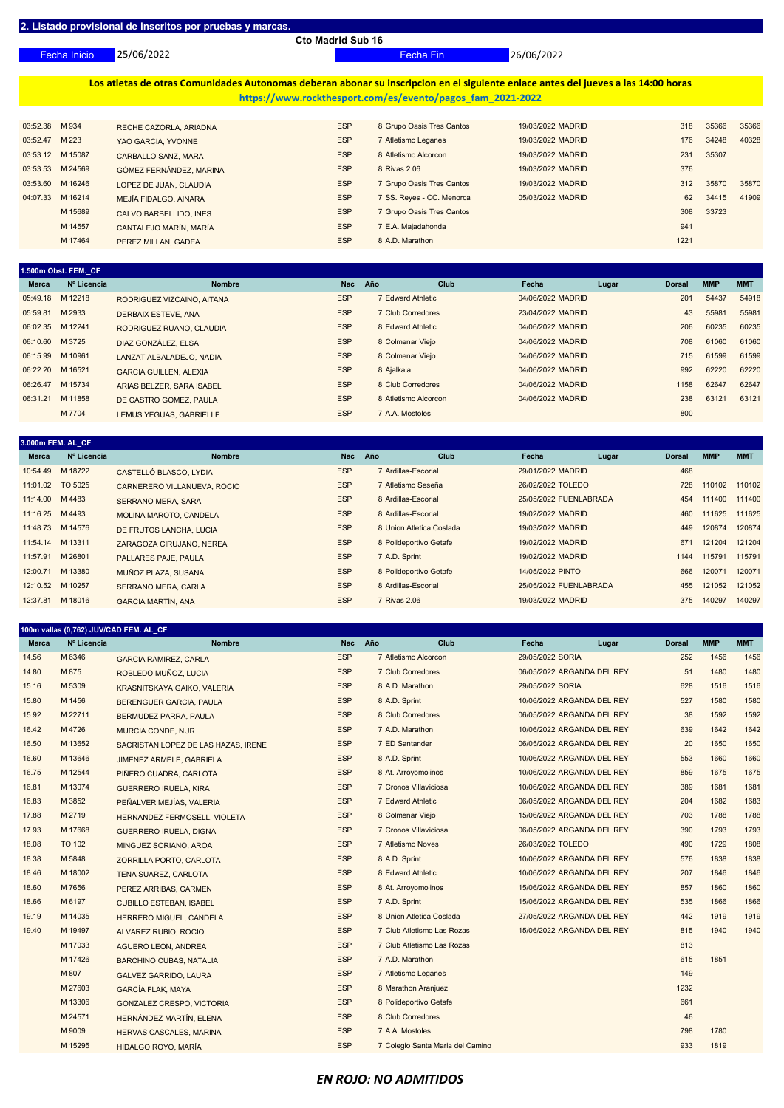25/06/2022 Fecha Inicio Fecha Fin 26/06/2022

**Los atletas de otras Comunidades Autonomas deberan abonar su inscripcion en el siguiente enlace antes del jueves a las 14:00 horas https://www.rockthesport.com/es/evento/pagos\_fam\_2021-2022**

| 03:52.38 M 934   |         | RECHE CAZORLA, ARIADNA  | <b>ESP</b> | 8 Grupo Oasis Tres Cantos | 19/03/2022 MADRID | 318  | 35366 | 35366 |
|------------------|---------|-------------------------|------------|---------------------------|-------------------|------|-------|-------|
| 03:52.47         | M 223   | YAO GARCIA, YVONNE      | <b>ESP</b> | 7 Atletismo Leganes       | 19/03/2022 MADRID | 176  | 34248 | 40328 |
| 03:53.12 M 15087 |         | CARBALLO SANZ, MARA     | <b>ESP</b> | 8 Atletismo Alcorcon      | 19/03/2022 MADRID | 231  | 35307 |       |
| 03:53.53 M 24569 |         | GÓMEZ FERNÁNDEZ, MARINA | <b>ESP</b> | 8 Rivas 2.06              | 19/03/2022 MADRID | 376  |       |       |
| 03:53.60 M 16246 |         | LOPEZ DE JUAN, CLAUDIA  | <b>ESP</b> | 7 Grupo Oasis Tres Cantos | 19/03/2022 MADRID | 312  | 35870 | 35870 |
| 04:07.33         | M 16214 | MEJÍA FIDALGO, AINARA   | <b>ESP</b> | 7 SS. Reyes - CC. Menorca | 05/03/2022 MADRID | 62   | 34415 | 41909 |
|                  | M 15689 | CALVO BARBELLIDO, INES  | <b>ESP</b> | 7 Grupo Oasis Tres Cantos |                   | 308  | 33723 |       |
|                  | M 14557 | CANTALEJO MARÍN, MARÍA  | <b>ESP</b> | 7 E.A. Majadahonda        |                   | 941  |       |       |
|                  | M 17464 | PEREZ MILLAN, GADEA     | <b>ESP</b> | 8 A.D. Marathon           |                   | 1221 |       |       |

|                  | 1.500m Obst. FEM. CF |                               |            |                      |             |                   |       |               |            |            |
|------------------|----------------------|-------------------------------|------------|----------------------|-------------|-------------------|-------|---------------|------------|------------|
| Marca            | Nº Licencia          | <b>Nombre</b>                 | <b>Nac</b> | Año                  | <b>Club</b> | Fecha             | Lugar | <b>Dorsal</b> | <b>MMP</b> | <b>MMT</b> |
| 05:49.18 M 12218 |                      | RODRIGUEZ VIZCAINO, AITANA    | <b>ESP</b> | 7 Edward Athletic    |             | 04/06/2022 MADRID |       | 201           | 54437      | 54918      |
| 05:59.81         | M 2933               | DERBAIX ESTEVE, ANA           | <b>ESP</b> | 7 Club Corredores    |             | 23/04/2022 MADRID |       | 43            | 55981      | 55981      |
| 06:02.35 M 12241 |                      | RODRIGUEZ RUANO, CLAUDIA      | <b>ESP</b> | 8 Edward Athletic    |             | 04/06/2022 MADRID |       | 206           | 60235      | 60235      |
| 06:10.60 M 3725  |                      | DIAZ GONZÁLEZ, ELSA           | <b>ESP</b> | 8 Colmenar Viejo     |             | 04/06/2022 MADRID |       | 708           | 61060      | 61060      |
| 06:15.99         | M 10961              | LANZAT ALBALADEJO, NADIA      | <b>ESP</b> | 8 Colmenar Viejo     |             | 04/06/2022 MADRID |       | 715           | 61599      | 61599      |
| 06:22.20         | M 16521              | <b>GARCIA GUILLEN, ALEXIA</b> | <b>ESP</b> | 8 Ajalkala           |             | 04/06/2022 MADRID |       | 992           | 62220      | 62220      |
| 06:26.47         | M 15734              | ARIAS BELZER, SARA ISABEL     | <b>ESP</b> | 8 Club Corredores    |             | 04/06/2022 MADRID |       | 1158          | 62647      | 62647      |
| 06:31.21         | M 11858              | DE CASTRO GOMEZ, PAULA        | <b>ESP</b> | 8 Atletismo Alcorcon |             | 04/06/2022 MADRID |       | 238           | 63121      | 63121      |
|                  | M 7704               | LEMUS YEGUAS, GABRIELLE       | <b>ESP</b> | 7 A.A. Mostoles      |             |                   |       | 800           |            |            |

| 3.000m FEM. AL  CF |             |                               |            |                          |                        |       |               |            |            |
|--------------------|-------------|-------------------------------|------------|--------------------------|------------------------|-------|---------------|------------|------------|
| <b>Marca</b>       | Nº Licencia | <b>Nombre</b>                 | <b>Nac</b> | Año<br><b>Club</b>       | Fecha                  | Lugar | <b>Dorsal</b> | <b>MMP</b> | <b>MMT</b> |
| 10:54.49 M 18722   |             | CASTELLÓ BLASCO, LYDIA        | <b>ESP</b> | 7 Ardillas-Escorial      | 29/01/2022 MADRID      |       | 468           |            |            |
| 11:01.02 TO 5025   |             | CARNERERO VILLANUEVA, ROCIO   | <b>ESP</b> | 7 Atletismo Seseña       | 26/02/2022 TOLEDO      |       | 728           | 110102     | 110102     |
| 11:14.00 M 4483    |             | <b>SERRANO MERA, SARA</b>     | <b>ESP</b> | 8 Ardillas-Escorial      | 25/05/2022 FUENLABRADA |       | 454           | 111400     | 111400     |
| 11:16.25 M 4493    |             | <b>MOLINA MAROTO, CANDELA</b> | <b>ESP</b> | 8 Ardillas-Escorial      | 19/02/2022 MADRID      |       | 460           | 111625     | 111625     |
| 11:48.73 M 14576   |             | DE FRUTOS LANCHA, LUCIA       | <b>ESP</b> | 8 Union Atletica Coslada | 19/03/2022 MADRID      |       | 449           | 120874     | 120874     |
| 11:54.14 M 13311   |             | ZARAGOZA CIRUJANO, NEREA      | <b>ESP</b> | 8 Polideportivo Getafe   | 19/02/2022 MADRID      |       | 671           | 121204     | 121204     |
| 11:57.91 M 26801   |             | <b>PALLARES PAJE, PAULA</b>   | <b>ESP</b> | 7 A.D. Sprint            | 19/02/2022 MADRID      |       | 1144          | 115791     | 115791     |
| 12:00.71 M 13380   |             | MUÑOZ PLAZA, SUSANA           | <b>ESP</b> | 8 Polideportivo Getafe   | 14/05/2022 PINTO       |       | 666           | 120071     | 120071     |
| 12:10.52 M 10257   |             | <b>SERRANO MERA, CARLA</b>    | <b>ESP</b> | 8 Ardillas-Escorial      | 25/05/2022 FUENLABRADA |       | 455           | 121052     | 121052     |
| 12:37.81 M 18016   |             | <b>GARCIA MARTÍN, ANA</b>     | <b>ESP</b> | 7 Rivas 2.06             | 19/03/2022 MADRID      |       | 375           | 140297     | 140297     |

#### **100m vallas (0,762) JUV/CAD FEM. AL\_CF**

| <b>Marca</b> | Nº Licencia   | <b>Nombre</b>                       | Nac Año    | Club                             | Fecha             | Lugar                      | <b>Dorsal</b> | <b>MMP</b> | <b>MMT</b> |
|--------------|---------------|-------------------------------------|------------|----------------------------------|-------------------|----------------------------|---------------|------------|------------|
| 14.56        | M 6346        | <b>GARCIA RAMIREZ, CARLA</b>        | <b>ESP</b> | 7 Atletismo Alcorcon             | 29/05/2022 SORIA  |                            | 252           | 1456       | 1456       |
| 14.80        | M 875         | ROBLEDO MUÑOZ, LUCIA                | <b>ESP</b> | 7 Club Corredores                |                   | 06/05/2022 ARGANDA DEL REY | 51            | 1480       | 1480       |
| 15.16        | M 5309        | KRASNITSKAYA GAIKO, VALERIA         | <b>ESP</b> | 8 A.D. Marathon                  | 29/05/2022 SORIA  |                            | 628           | 1516       | 1516       |
| 15.80        | M 1456        | BERENGUER GARCIA, PAULA             | <b>ESP</b> | 8 A.D. Sprint                    |                   | 10/06/2022 ARGANDA DEL REY | 527           | 1580       | 1580       |
| 15.92        | M 22711       | BERMUDEZ PARRA, PAULA               | <b>ESP</b> | 8 Club Corredores                |                   | 06/05/2022 ARGANDA DEL REY | 38            | 1592       | 1592       |
| 16.42        | M 4726        | <b>MURCIA CONDE, NUR</b>            | <b>ESP</b> | 7 A.D. Marathon                  |                   | 10/06/2022 ARGANDA DEL REY | 639           | 1642       | 1642       |
| 16.50        | M 13652       | SACRISTAN LOPEZ DE LAS HAZAS, IRENE | <b>ESP</b> | 7 ED Santander                   |                   | 06/05/2022 ARGANDA DEL REY | 20            | 1650       | 1650       |
| 16.60        | M 13646       | JIMENEZ ARMELE, GABRIELA            | <b>ESP</b> | 8 A.D. Sprint                    |                   | 10/06/2022 ARGANDA DEL REY | 553           | 1660       | 1660       |
| 16.75        | M 12544       | PIÑERO CUADRA, CARLOTA              | <b>ESP</b> | 8 At. Arroyomolinos              |                   | 10/06/2022 ARGANDA DEL REY | 859           | 1675       | 1675       |
| 16.81        | M 13074       | <b>GUERRERO IRUELA, KIRA</b>        | <b>ESP</b> | 7 Cronos Villaviciosa            |                   | 10/06/2022 ARGANDA DEL REY | 389           | 1681       | 1681       |
| 16.83        | M 3852        | PEÑALVER MEJÍAS, VALERIA            | <b>ESP</b> | 7 Edward Athletic                |                   | 06/05/2022 ARGANDA DEL REY | 204           | 1682       | 1683       |
| 17.88        | M 2719        | HERNANDEZ FERMOSELL, VIOLETA        | <b>ESP</b> | 8 Colmenar Viejo                 |                   | 15/06/2022 ARGANDA DEL REY | 703           | 1788       | 1788       |
| 17.93        | M 17668       | <b>GUERRERO IRUELA, DIGNA</b>       | <b>ESP</b> | 7 Cronos Villaviciosa            |                   | 06/05/2022 ARGANDA DEL REY | 390           | 1793       | 1793       |
| 18.08        | <b>TO 102</b> | MINGUEZ SORIANO, AROA               | <b>ESP</b> | 7 Atletismo Noves                | 26/03/2022 TOLEDO |                            | 490           | 1729       | 1808       |
| 18.38        | M 5848        | ZORRILLA PORTO, CARLOTA             | <b>ESP</b> | 8 A.D. Sprint                    |                   | 10/06/2022 ARGANDA DEL REY | 576           | 1838       | 1838       |
| 18.46        | M 18002       | <b>TENA SUAREZ, CARLOTA</b>         | <b>ESP</b> | 8 Edward Athletic                |                   | 10/06/2022 ARGANDA DEL REY | 207           | 1846       | 1846       |
| 18.60        | M 7656        | PEREZ ARRIBAS, CARMEN               | <b>ESP</b> | 8 At. Arroyomolinos              |                   | 15/06/2022 ARGANDA DEL REY | 857           | 1860       | 1860       |
| 18.66        | M 6197        | <b>CUBILLO ESTEBAN, ISABEL</b>      | <b>ESP</b> | 7 A.D. Sprint                    |                   | 15/06/2022 ARGANDA DEL REY | 535           | 1866       | 1866       |
| 19.19        | M 14035       | HERRERO MIGUEL, CANDELA             | <b>ESP</b> | 8 Union Atletica Coslada         |                   | 27/05/2022 ARGANDA DEL REY | 442           | 1919       | 1919       |
| 19.40        | M 19497       | ALVAREZ RUBIO, ROCIO                | <b>ESP</b> | 7 Club Atletismo Las Rozas       |                   | 15/06/2022 ARGANDA DEL REY | 815           | 1940       | 1940       |
|              | M 17033       | <b>AGUERO LEON, ANDREA</b>          | <b>ESP</b> | 7 Club Atletismo Las Rozas       |                   |                            | 813           |            |            |
|              | M 17426       | <b>BARCHINO CUBAS, NATALIA</b>      | <b>ESP</b> | 7 A.D. Marathon                  |                   |                            | 615           | 1851       |            |
|              | M 807         | <b>GALVEZ GARRIDO, LAURA</b>        | <b>ESP</b> | 7 Atletismo Leganes              |                   |                            | 149           |            |            |
|              | M 27603       | <b>GARCÍA FLAK, MAYA</b>            | <b>ESP</b> | 8 Marathon Aranjuez              |                   |                            | 1232          |            |            |
|              | M 13306       | GONZALEZ CRESPO, VICTORIA           | <b>ESP</b> | 8 Polideportivo Getafe           |                   |                            | 661           |            |            |
|              | M 24571       | HERNÁNDEZ MARTÍN, ELENA             | <b>ESP</b> | 8 Club Corredores                |                   |                            | 46            |            |            |
|              | M 9009        | <b>HERVAS CASCALES, MARINA</b>      | <b>ESP</b> | 7 A.A. Mostoles                  |                   |                            | 798           | 1780       |            |
|              | M 15295       | HIDALGO ROYO, MARÍA                 | <b>ESP</b> | 7 Colegio Santa Maria del Camino |                   |                            | 933           | 1819       |            |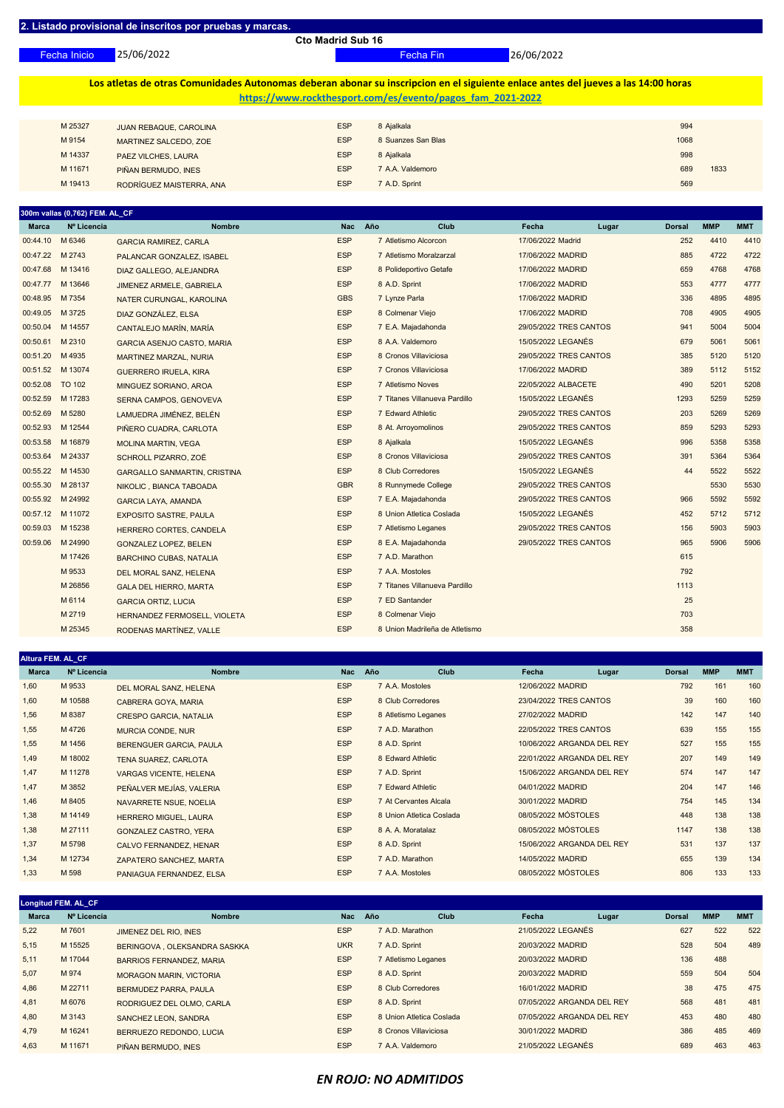25/06/2022 Fecha Inicio Fecha Fin 26/06/2022

### **Los atletas de otras Comunidades Autonomas deberan abonar su inscripcion en el siguiente enlace antes del jueves a las 14:00 horas https://www.rockthesport.com/es/evento/pagos\_fam\_2021-2022**

| M 25327 | <b>JUAN REBAQUE, CAROLINA</b> | <b>ESP</b> | 8 Ajalkala         | 994  |      |
|---------|-------------------------------|------------|--------------------|------|------|
| M 9154  | MARTINEZ SALCEDO, ZOE         | <b>ESP</b> | 8 Suanzes San Blas | 1068 |      |
| M 14337 | PAEZ VILCHES, LAURA           | <b>ESP</b> | 8 Ajalkala         | 998  |      |
| M 11671 | PIÑAN BERMUDO, INES           | <b>ESP</b> | 7 A.A. Valdemoro   | 689  | 1833 |
| M 19413 | RODRÍGUEZ MAISTERRA, ANA      | <b>ESP</b> | 7 A.D. Sprint      | 569  |      |

|                 | 300m vallas (0,762) FEM. AL_CF |                                     |            |     |                                |                        |       |               |            |            |
|-----------------|--------------------------------|-------------------------------------|------------|-----|--------------------------------|------------------------|-------|---------------|------------|------------|
| <b>Marca</b>    | Nº Licencia                    | <b>Nombre</b>                       | <b>Nac</b> | Año | Club                           | Fecha                  | Lugar | <b>Dorsal</b> | <b>MMP</b> | <b>MMT</b> |
| 00:44.10        | M 6346                         | <b>GARCIA RAMIREZ, CARLA</b>        | <b>ESP</b> |     | 7 Atletismo Alcorcon           | 17/06/2022 Madrid      |       | 252           | 4410       | 4410       |
| 00:47.22 M 2743 |                                | PALANCAR GONZALEZ, ISABEL           | <b>ESP</b> |     | 7 Atletismo Moralzarzal        | 17/06/2022 MADRID      |       | 885           | 4722       | 4722       |
|                 | 00:47.68 M 13416               | DIAZ GALLEGO, ALEJANDRA             | <b>ESP</b> |     | 8 Polideportivo Getafe         | 17/06/2022 MADRID      |       | 659           | 4768       | 4768       |
| 00:47.77        | M 13646                        | <b>JIMENEZ ARMELE, GABRIELA</b>     | <b>ESP</b> |     | 8 A.D. Sprint                  | 17/06/2022 MADRID      |       | 553           | 4777       | 4777       |
| 00:48.95 M 7354 |                                | NATER CURUNGAL, KAROLINA            | <b>GBS</b> |     | 7 Lynze Parla                  | 17/06/2022 MADRID      |       | 336           | 4895       | 4895       |
| 00:49.05        | M 3725                         | DIAZ GONZÁLEZ, ELSA                 | <b>ESP</b> |     | 8 Colmenar Viejo               | 17/06/2022 MADRID      |       | 708           | 4905       | 4905       |
| 00:50.04        | M 14557                        | CANTALEJO MARÍN, MARÍA              | <b>ESP</b> |     | 7 E.A. Majadahonda             | 29/05/2022 TRES CANTOS |       | 941           | 5004       | 5004       |
| 00:50.61        | M 2310                         | <b>GARCIA ASENJO CASTO, MARIA</b>   | <b>ESP</b> |     | 8 A.A. Valdemoro               | 15/05/2022 LEGANÉS     |       | 679           | 5061       | 5061       |
| 00:51.20 M 4935 |                                | <b>MARTINEZ MARZAL, NURIA</b>       | <b>ESP</b> |     | 8 Cronos Villaviciosa          | 29/05/2022 TRES CANTOS |       | 385           | 5120       | 5120       |
|                 | 00:51.52 M 13074               | <b>GUERRERO IRUELA, KIRA</b>        | <b>ESP</b> |     | 7 Cronos Villaviciosa          | 17/06/2022 MADRID      |       | 389           | 5112       | 5152       |
| 00:52.08        | TO 102                         | MINGUEZ SORIANO, AROA               | <b>ESP</b> |     | 7 Atletismo Noves              | 22/05/2022 ALBACETE    |       | 490           | 5201       | 5208       |
| 00:52.59        | M 17283                        | SERNA CAMPOS, GENOVEVA              | <b>ESP</b> |     | 7 Titanes Villanueva Pardillo  | 15/05/2022 LEGANÉS     |       | 1293          | 5259       | 5259       |
| 00:52.69        | M 5280                         | LAMUEDRA JIMÉNEZ, BELÉN             | <b>ESP</b> |     | 7 Edward Athletic              | 29/05/2022 TRES CANTOS |       | 203           | 5269       | 5269       |
| 00:52.93        | M 12544                        | PIÑERO CUADRA, CARLOTA              | <b>ESP</b> |     | 8 At. Arroyomolinos            | 29/05/2022 TRES CANTOS |       | 859           | 5293       | 5293       |
| 00:53.58        | M 16879                        | <b>MOLINA MARTIN, VEGA</b>          | <b>ESP</b> |     | 8 Ajalkala                     | 15/05/2022 LEGANÉS     |       | 996           | 5358       | 5358       |
| 00:53.64        | M 24337                        | SCHROLL PIZARRO, ZOË                | <b>ESP</b> |     | 8 Cronos Villaviciosa          | 29/05/2022 TRES CANTOS |       | 391           | 5364       | 5364       |
|                 | 00:55.22 M 14530               | <b>GARGALLO SANMARTIN, CRISTINA</b> | <b>ESP</b> |     | 8 Club Corredores              | 15/05/2022 LEGANÉS     |       | 44            | 5522       | 5522       |
|                 | 00:55.30 M 28137               | NIKOLIC, BIANCA TABOADA             | <b>GBR</b> |     | 8 Runnymede College            | 29/05/2022 TRES CANTOS |       |               | 5530       | 5530       |
|                 | 00:55.92 M 24992               | <b>GARCIA LAYA, AMANDA</b>          | <b>ESP</b> |     | 7 E.A. Majadahonda             | 29/05/2022 TRES CANTOS |       | 966           | 5592       | 5592       |
|                 | 00:57.12 M 11072               | <b>EXPOSITO SASTRE, PAULA</b>       | <b>ESP</b> |     | 8 Union Atletica Coslada       | 15/05/2022 LEGANÉS     |       | 452           | 5712       | 5712       |
| 00:59.03        | M 15238                        | HERRERO CORTES, CANDELA             | <b>ESP</b> |     | 7 Atletismo Leganes            | 29/05/2022 TRES CANTOS |       | 156           | 5903       | 5903       |
| 00:59.06        | M 24990                        | <b>GONZALEZ LOPEZ, BELEN</b>        | <b>ESP</b> |     | 8 E.A. Majadahonda             | 29/05/2022 TRES CANTOS |       | 965           | 5906       | 5906       |
|                 | M 17426                        | <b>BARCHINO CUBAS, NATALIA</b>      | <b>ESP</b> |     | 7 A.D. Marathon                |                        |       | 615           |            |            |
|                 | M 9533                         | DEL MORAL SANZ, HELENA              | <b>ESP</b> |     | 7 A.A. Mostoles                |                        |       | 792           |            |            |
|                 | M 26856                        | <b>GALA DEL HIERRO, MARTA</b>       | <b>ESP</b> |     | 7 Titanes Villanueva Pardillo  |                        |       | 1113          |            |            |
|                 | M 6114                         | <b>GARCIA ORTIZ, LUCIA</b>          | <b>ESP</b> |     | 7 ED Santander                 |                        |       | 25            |            |            |
|                 | M 2719                         | HERNANDEZ FERMOSELL, VIOLETA        | <b>ESP</b> |     | 8 Colmenar Viejo               |                        |       | 703           |            |            |
|                 | M 25345                        | RODENAS MARTÍNEZ, VALLE             | <b>ESP</b> |     | 8 Union Madrileña de Atletismo |                        |       | 358           |            |            |

|              | Altura FEM. AL_CF_ |                               |            |                     |                          |                        |                            |               |            |            |
|--------------|--------------------|-------------------------------|------------|---------------------|--------------------------|------------------------|----------------------------|---------------|------------|------------|
| <b>Marca</b> | Nº Licencia        | <b>Nombre</b>                 | <b>Nac</b> | Año                 | Club                     | Fecha                  | Lugar                      | <b>Dorsal</b> | <b>MMP</b> | <b>MMT</b> |
| 1,60         | M 9533             | DEL MORAL SANZ, HELENA        | <b>ESP</b> | 7 A.A. Mostoles     |                          | 12/06/2022 MADRID      |                            | 792           | 161        | 160        |
| 1,60         | M 10588            | CABRERA GOYA, MARIA           | <b>ESP</b> | 8 Club Corredores   |                          | 23/04/2022 TRES CANTOS |                            | 39            | 160        | 160        |
| 1,56         | M 8387             | <b>CRESPO GARCIA, NATALIA</b> | <b>ESP</b> | 8 Atletismo Leganes |                          | 27/02/2022 MADRID      |                            | 142           | 147        | 140        |
| 1,55         | M 4726             | <b>MURCIA CONDE, NUR</b>      | <b>ESP</b> | 7 A.D. Marathon     |                          | 22/05/2022 TRES CANTOS |                            | 639           | 155        | 155        |
| 1,55         | M 1456             | BERENGUER GARCIA, PAULA       | <b>ESP</b> | 8 A.D. Sprint       |                          |                        | 10/06/2022 ARGANDA DEL REY | 527           | 155        | 155        |
| 1,49         | M 18002            | <b>TENA SUAREZ, CARLOTA</b>   | <b>ESP</b> | 8 Edward Athletic   |                          |                        | 22/01/2022 ARGANDA DEL REY | 207           | 149        | 149        |
| 1,47         | M 11278            | <b>VARGAS VICENTE, HELENA</b> | <b>ESP</b> | 7 A.D. Sprint       |                          |                        | 15/06/2022 ARGANDA DEL REY | 574           | 147        | 147        |
| 1,47         | M 3852             | PEÑALVER MEJÍAS, VALERIA      | <b>ESP</b> | 7 Edward Athletic   |                          | 04/01/2022 MADRID      |                            | 204           | 147        | 146        |
| 1,46         | M 8405             | NAVARRETE NSUE, NOELIA        | <b>ESP</b> |                     | 7 At Cervantes Alcala    | 30/01/2022 MADRID      |                            | 754           | 145        | 134        |
| 1,38         | M 14149            | <b>HERRERO MIGUEL, LAURA</b>  | <b>ESP</b> |                     | 8 Union Atletica Coslada | 08/05/2022 MÓSTOLES    |                            | 448           | 138        | 138        |
| 1,38         | M 27111            | <b>GONZALEZ CASTRO, YERA</b>  | <b>ESP</b> | 8 A. A. Moratalaz   |                          | 08/05/2022 MÓSTOLES    |                            | 1147          | 138        | 138        |
| 1,37         | M 5798             | CALVO FERNANDEZ, HENAR        | <b>ESP</b> | 8 A.D. Sprint       |                          |                        | 15/06/2022 ARGANDA DEL REY | 531           | 137        | 137        |
| 1,34         | M 12734            | ZAPATERO SANCHEZ, MARTA       | <b>ESP</b> | 7 A.D. Marathon     |                          | 14/05/2022 MADRID      |                            | 655           | 139        | 134        |
| 1,33         | M 598              | PANIAGUA FERNANDEZ, ELSA      | <b>ESP</b> | 7 A.A. Mostoles     |                          | 08/05/2022 MÓSTOLES    |                            | 806           | 133        | 133        |

|              | Longitud FEM. AL  CF |                                 |            |                          |                            |                        |            |            |
|--------------|----------------------|---------------------------------|------------|--------------------------|----------------------------|------------------------|------------|------------|
| <b>Marca</b> | Nº Licencia          | <b>Nombre</b>                   | <b>Nac</b> | Año<br>Club              | Fecha                      | <b>Dorsal</b><br>Lugar | <b>MMP</b> | <b>MMT</b> |
| 5,22         | M 7601               | JIMENEZ DEL RIO, INES           | <b>ESP</b> | 7 A.D. Marathon          | 21/05/2022 LEGANÉS         | 627                    | 522        | 522        |
| 5,15         | M 15525              | BERINGOVA, OLEKSANDRA SASKKA    | <b>UKR</b> | 7 A.D. Sprint            | 20/03/2022 MADRID          | 528                    | 504        | 489        |
| 5,11         | M 17044              | <b>BARRIOS FERNANDEZ, MARIA</b> | <b>ESP</b> | <b>Atletismo Leganes</b> | 20/03/2022 MADRID          | 136                    | 488        |            |
| 5,07         | M 974                | <b>MORAGON MARIN, VICTORIA</b>  | <b>ESP</b> | 8 A.D. Sprint            | 20/03/2022 MADRID          | 559                    | 504        | 504        |
| 4,86         | M 22711              | BERMUDEZ PARRA, PAULA           | <b>ESP</b> | 8 Club Corredores        | 16/01/2022 MADRID          | 38                     | 475        | 475        |
| 4,81         | M 6076               | RODRIGUEZ DEL OLMO, CARLA       | <b>ESP</b> | 8 A.D. Sprint            | 07/05/2022 ARGANDA DEL REY | 568                    | 481        | 481        |
| 4,80         | M 3143               | <b>SANCHEZ LEON, SANDRA</b>     | <b>ESP</b> | 8 Union Atletica Coslada | 07/05/2022 ARGANDA DEL REY | 453                    | 480        | 480        |
| 4,79         | M 16241              | BERRUEZO REDONDO, LUCIA         | <b>ESP</b> | 8 Cronos Villaviciosa    | 30/01/2022 MADRID          | 386                    | 485        | 469        |
| 4,63         | M 11671              | PIÑAN BERMUDO. INES             | <b>ESP</b> | <b>A.A. Valdemoro</b>    | 21/05/2022 LEGANÉS         | 689                    | 463        | 463        |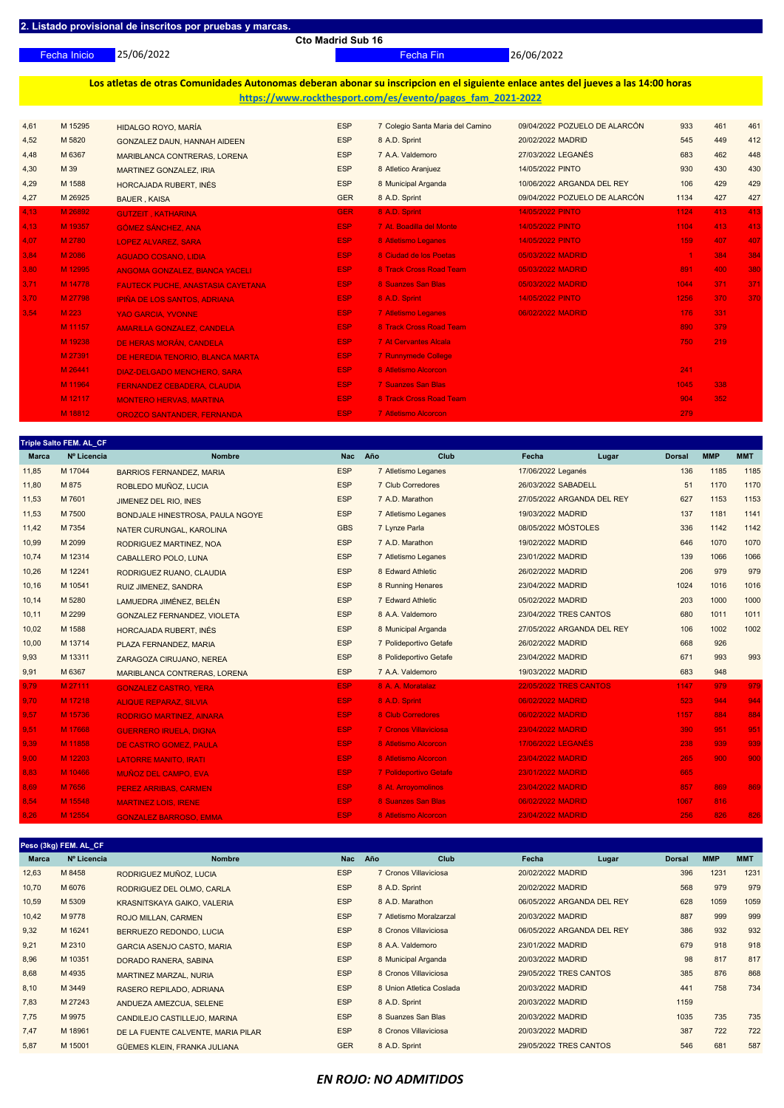25/06/2022 Fecha Inicio Fecha Fin 26/06/2022

**Los atletas de otras Comunidades Autonomas deberan abonar su inscripcion en el siguiente enlace antes del jueves a las 14:00 horas https://www.rockthesport.com/es/evento/pagos\_fam\_2021-2022**

| 4,61 | M 15295 | HIDALGO ROYO, MARÍA                      | <b>ESP</b> | 7 Colegio Santa Maria del Camino | 09/04/2022 POZUELO DE ALARCÓN | 933                  | 461 | 461 |
|------|---------|------------------------------------------|------------|----------------------------------|-------------------------------|----------------------|-----|-----|
| 4,52 | M 5820  | GONZALEZ DAUN, HANNAH AIDEEN             | <b>ESP</b> | 8 A.D. Sprint                    | 20/02/2022 MADRID             | 545                  | 449 | 412 |
| 4,48 | M 6367  | MARIBLANCA CONTRERAS, LORENA             | <b>ESP</b> | 7 A.A. Valdemoro                 | 27/03/2022 LEGANÉS            | 683                  | 462 | 448 |
| 4,30 | M 39    | MARTINEZ GONZALEZ, IRIA                  | <b>ESP</b> | 8 Atletico Aranjuez              | 14/05/2022 PINTO              | 930                  | 430 | 430 |
| 4,29 | M 1588  | HORCAJADA RUBERT, INÉS                   | <b>ESP</b> | 8 Municipal Arganda              | 10/06/2022 ARGANDA DEL REY    | 106                  | 429 | 429 |
| 4,27 | M 26925 | <b>BAUER, KAISA</b>                      | <b>GER</b> | 8 A.D. Sprint                    | 09/04/2022 POZUELO DE ALARCÓN | 1134                 | 427 | 427 |
| 4,13 | M 26892 | <b>GUTZEIT, KATHARINA</b>                | <b>GER</b> | 8 A.D. Sprint                    | <b>14/05/2022 PINTO</b>       | 1124                 | 413 | 413 |
| 4.13 | M 19357 | <b>GÓMEZ SÁNCHEZ, ANA</b>                | <b>ESP</b> | 7 At. Boadilla del Monte         | <b>14/05/2022 PINTO</b>       | 1104                 | 413 | 413 |
| 4,07 | M 2780  | <b>LOPEZ ALVAREZ, SARA</b>               | <b>ESP</b> | 8 Atletismo Leganes              | <b>14/05/2022 PINTO</b>       | 159                  | 407 | 407 |
| 3,84 | M 2086  | <b>AGUADO COSANO, LIDIA</b>              | <b>ESP</b> | 8 Ciudad de los Poetas           | 05/03/2022 MADRID             | $\blacktriangleleft$ | 384 | 384 |
| 3,80 | M 12995 | ANGOMA GONZALEZ, BIANCA YACELI           | <b>ESP</b> | 8 Track Cross Road Team          | 05/03/2022 MADRID             | 891                  | 400 | 380 |
| 3.71 | M 14778 | <b>FAUTECK PUCHE, ANASTASIA CAYETANA</b> | <b>ESP</b> | 8 Suanzes San Blas               | 05/03/2022 MADRID             | 1044                 | 371 | 371 |
| 3.70 | M 27798 | <b>IPIÑA DE LOS SANTOS, ADRIANA</b>      | <b>ESP</b> | 8 A.D. Sprint                    | <b>14/05/2022 PINTO</b>       | 1256                 | 370 | 370 |
| 3,54 | M 223   | <b>YAO GARCIA, YVONNE</b>                | <b>ESP</b> | <b>7 Atletismo Leganes</b>       | 06/02/2022 MADRID             | 176                  | 331 |     |
|      | M 11157 | AMARILLA GONZALEZ. CANDELA               | <b>ESP</b> | 8 Track Cross Road Team          |                               | 890                  | 379 |     |
|      | M 19238 | DE HERAS MORÁN, CANDELA                  | <b>ESP</b> | <b>7 At Cervantes Alcala</b>     |                               | 750                  | 219 |     |
|      | M 27391 | DE HEREDIA TENORIO. BLANCA MARTA         | <b>ESP</b> | <b>7 Runnymede College</b>       |                               |                      |     |     |
|      | M 26441 | <b>DIAZ-DELGADO MENCHERO, SARA</b>       | <b>ESP</b> | 8 Atletismo Alcorcon             |                               | 241                  |     |     |
|      | M 11964 | <b>FERNANDEZ CEBADERA, CLAUDIA</b>       | <b>ESP</b> | <b>7 Suanzes San Blas</b>        |                               | 1045                 | 338 |     |
|      | M 12117 | <b>MONTERO HERVAS, MARTINA</b>           | <b>ESP</b> | 8 Track Cross Road Team          |                               | 904                  | 352 |     |
|      | M 18812 | <b>OROZCO SANTANDER, FERNANDA</b>        | <b>ESP</b> | <b>7 Atletismo Alcorcon</b>      |                               | 279                  |     |     |

| <b>Marca</b> | Triple Salto FEM. AL_CF_<br>Nº Licencia | <b>Nombre</b>                    | <b>Nac</b> | Año<br>Club                  | Fecha                         | Lugar                      | <b>Dorsal</b> | <b>MMP</b> | <b>MMT</b> |
|--------------|-----------------------------------------|----------------------------------|------------|------------------------------|-------------------------------|----------------------------|---------------|------------|------------|
| 11,85        | M 17044                                 | <b>BARRIOS FERNANDEZ, MARIA</b>  | <b>ESP</b> | 7 Atletismo Leganes          | 17/06/2022 Leganés            |                            | 136           | 1185       | 1185       |
| 11,80        | M 875                                   | ROBLEDO MUÑOZ, LUCIA             | <b>ESP</b> | 7 Club Corredores            | 26/03/2022 SABADELL           |                            | 51            | 1170       | 1170       |
| 11,53        | M 7601                                  | JIMENEZ DEL RIO, INES            | <b>ESP</b> | 7 A.D. Marathon              |                               | 27/05/2022 ARGANDA DEL REY | 627           | 1153       | 1153       |
| 11,53        | M 7500                                  | BONDJALE HINESTROSA, PAULA NGOYE | <b>ESP</b> | 7 Atletismo Leganes          | 19/03/2022 MADRID             |                            | 137           | 1181       | 1141       |
| 11,42        | M 7354                                  | NATER CURUNGAL, KAROLINA         | <b>GBS</b> | 7 Lynze Parla                | 08/05/2022 MÓSTOLES           |                            | 336           | 1142       | 1142       |
| 10,99        | M 2099                                  | RODRIGUEZ MARTINEZ, NOA          | <b>ESP</b> | 7 A.D. Marathon              | 19/02/2022 MADRID             |                            | 646           | 1070       | 1070       |
| 10,74        | M 12314                                 | CABALLERO POLO, LUNA             | <b>ESP</b> | 7 Atletismo Leganes          | 23/01/2022 MADRID             |                            | 139           | 1066       | 1066       |
| 10,26        | M 12241                                 | RODRIGUEZ RUANO, CLAUDIA         | <b>ESP</b> | 8 Edward Athletic            | 26/02/2022 MADRID             |                            | 206           | 979        | 979        |
| 10,16        | M 10541                                 | RUIZ JIMENEZ, SANDRA             | <b>ESP</b> | 8 Running Henares            | 23/04/2022 MADRID             |                            | 1024          | 1016       | 1016       |
| 10,14        | M 5280                                  | LAMUEDRA JIMÉNEZ, BELÉN          | <b>ESP</b> | 7 Edward Athletic            | 05/02/2022 MADRID             |                            | 203           | 1000       | 1000       |
| 10, 11       | M 2299                                  | GONZALEZ FERNANDEZ, VIOLETA      | <b>ESP</b> | 8 A.A. Valdemoro             | 23/04/2022 TRES CANTOS        |                            | 680           | 1011       | 1011       |
| 10,02        | M 1588                                  | HORCAJADA RUBERT, INÉS           | <b>ESP</b> | 8 Municipal Arganda          |                               | 27/05/2022 ARGANDA DEL REY | 106           | 1002       | 1002       |
| 10,00        | M 13714                                 | PLAZA FERNANDEZ, MARIA           | <b>ESP</b> | 7 Polideportivo Getafe       | 26/02/2022 MADRID             |                            | 668           | 926        |            |
| 9,93         | M 13311                                 | ZARAGOZA CIRUJANO, NEREA         | <b>ESP</b> | 8 Polideportivo Getafe       | 23/04/2022 MADRID             |                            | 671           | 993        | 993        |
| 9,91         | M 6367                                  | MARIBLANCA CONTRERAS, LORENA     | <b>ESP</b> | 7 A.A. Valdemoro             | 19/03/2022 MADRID             |                            | 683           | 948        |            |
| 9,79         | M 27111                                 | <b>GONZALEZ CASTRO, YERA</b>     | ESP        | 8 A. A. Moratalaz            | <b>22/05/2022 TRES CANTOS</b> |                            | 1147          | 979        | 979        |
| 9,70         | M 17218                                 | <b>ALIQUE REPARAZ, SILVIA</b>    | <b>ESP</b> | 8 A.D. Sprint                | 06/02/2022 MADRID             |                            | 523           | 944        | 944        |
| 9,57         | M 15736                                 | <b>RODRIGO MARTINEZ, AINARA</b>  | <b>ESP</b> | <b>8 Club Corredores</b>     | 06/02/2022 MADRID             |                            | 1157          | 884        | 884        |
| 9,51         | M 17668                                 | <b>GUERRERO IRUELA, DIGNA</b>    | <b>ESP</b> | <b>7 Cronos Villaviciosa</b> | 23/04/2022 MADRID             |                            | 390           | 951        | 951        |
| 9,39         | M 11858                                 | DE CASTRO GOMEZ, PAULA           | <b>ESP</b> | 8 Atletismo Alcorcon         | 17/06/2022 LEGANÉS            |                            | 238           | 939        | 939        |
| 9,00         | M 12203                                 | <b>LATORRE MANITO, IRATI</b>     | <b>ESP</b> | 8 Atletismo Alcorcon         | 23/04/2022 MADRID             |                            | 265           | 900        | 900        |
| 8,83         | M 10466                                 | <b>MUÑOZ DEL CAMPO, EVA</b>      | <b>ESP</b> | 7 Polideportivo Getafe       | 23/01/2022 MADRID             |                            | 665           |            |            |
| 8,69         | M 7656                                  | <b>PEREZ ARRIBAS, CARMEN</b>     | <b>ESP</b> | 8 At. Arroyomolinos          | 23/04/2022 MADRID             |                            | 857           | 869        | 869        |
| 8,54         | M 15548                                 | <b>MARTINEZ LOIS, IRENE</b>      | <b>ESP</b> | 8 Suanzes San Blas           | 06/02/2022 MADRID             |                            | 1067          | 816        |            |
| 8,26         | M 12554                                 | <b>GONZALEZ BARROSO, EMMA</b>    | <b>ESP</b> | 8 Atletismo Alcorcon         | 23/04/2022 MADRID             |                            | 256           | 826        | 826        |

|       | Peso (3kg) FEM. AL_CF_ |                                    |            |                          |                            |                        |            |            |
|-------|------------------------|------------------------------------|------------|--------------------------|----------------------------|------------------------|------------|------------|
| Marca | Nº Licencia            | <b>Nombre</b>                      | <b>Nac</b> | <b>Club</b><br>Año       | Fecha                      | <b>Dorsal</b><br>Lugar | <b>MMP</b> | <b>MMT</b> |
| 12,63 | M 8458                 | RODRIGUEZ MUÑOZ, LUCIA             | <b>ESP</b> | 7 Cronos Villaviciosa    | 20/02/2022 MADRID          | 396                    | 1231       | 1231       |
| 10,70 | M 6076                 | RODRIGUEZ DEL OLMO, CARLA          | <b>ESP</b> | 8 A.D. Sprint            | 20/02/2022 MADRID          | 568                    | 979        | 979        |
| 10,59 | M 5309                 | KRASNITSKAYA GAIKO, VALERIA        | <b>ESP</b> | 8 A.D. Marathon          | 06/05/2022 ARGANDA DEL REY | 628                    | 1059       | 1059       |
| 10,42 | M 9778                 | ROJO MILLAN, CARMEN                | <b>ESP</b> | 7 Atletismo Moralzarzal  | 20/03/2022 MADRID          | 887                    | 999        | 999        |
| 9,32  | M 16241                | BERRUEZO REDONDO, LUCIA            | <b>ESP</b> | 8 Cronos Villaviciosa    | 06/05/2022 ARGANDA DEL REY | 386                    | 932        | 932        |
| 9,21  | M 2310                 | <b>GARCIA ASENJO CASTO, MARIA</b>  | <b>ESP</b> | 8 A.A. Valdemoro         | 23/01/2022 MADRID          | 679                    | 918        | 918        |
| 8,96  | M 10351                | DORADO RANERA, SABINA              | <b>ESP</b> | 8 Municipal Arganda      | 20/03/2022 MADRID          | 98                     | 817        | 817        |
| 8,68  | M 4935                 | MARTINEZ MARZAL, NURIA             | <b>ESP</b> | 8 Cronos Villaviciosa    | 29/05/2022 TRES CANTOS     | 385                    | 876        | 868        |
| 8,10  | M 3449                 | RASERO REPILADO, ADRIANA           | <b>ESP</b> | 8 Union Atletica Coslada | 20/03/2022 MADRID          | 441                    | 758        | 734        |
| 7,83  | M 27243                | ANDUEZA AMEZCUA, SELENE            | <b>ESP</b> | 8 A.D. Sprint            | 20/03/2022 MADRID          | 1159                   |            |            |
| 7,75  | M 9975                 | CANDILEJO CASTILLEJO, MARINA       | <b>ESP</b> | 8 Suanzes San Blas       | 20/03/2022 MADRID          | 1035                   | 735        | 735        |
| 7,47  | M 18961                | DE LA FUENTE CALVENTE, MARIA PILAR | <b>ESP</b> | 8 Cronos Villaviciosa    | 20/03/2022 MADRID          | 387                    | 722        | 722        |
| 5,87  | M 15001                | GÜEMES KLEIN, FRANKA JULIANA       | <b>GER</b> | 8 A.D. Sprint            | 29/05/2022 TRES CANTOS     | 546                    | 681        | 587        |